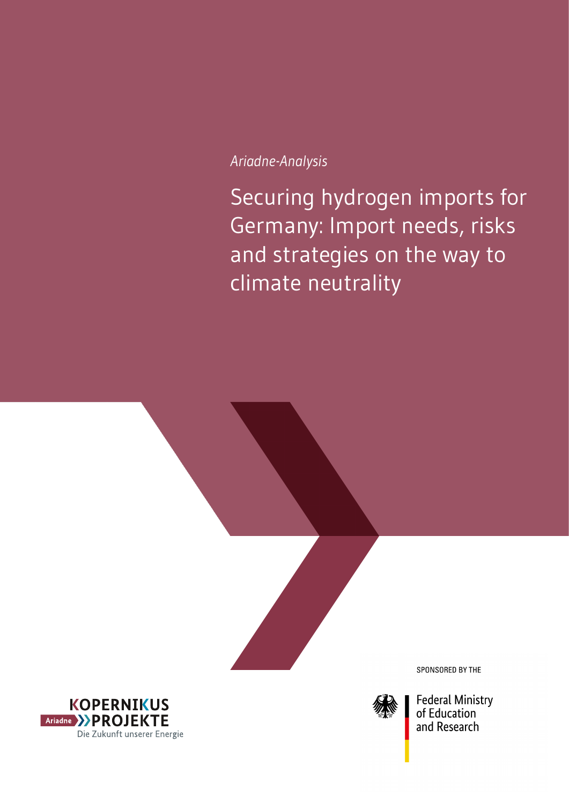# *Ariadne-Analysis*

Securing hydrogen imports for Germany: Import needs, risks and strategies on the way to climate neutrality





SPONSORED BY THE



**Federal Ministry** of Education and Research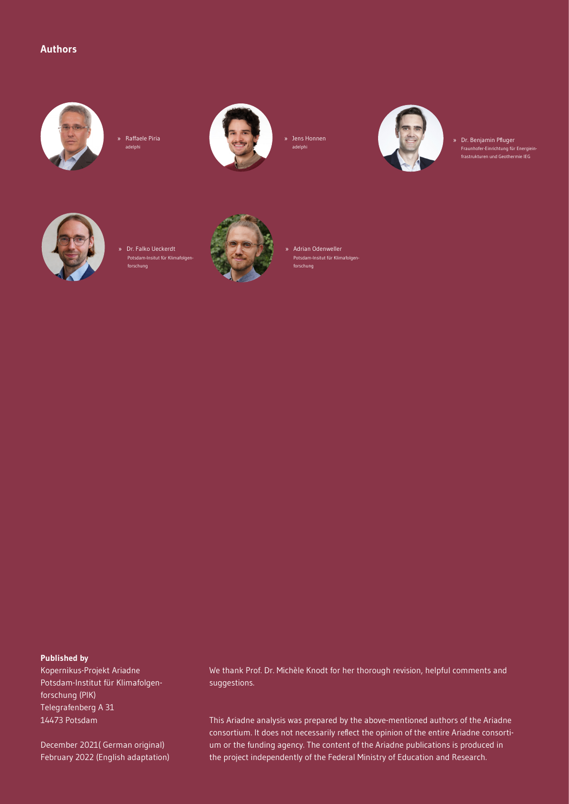#### **Authors**



» Raffaele Piria adelphi



» Jens Honnen adelphi



» Dr. Benjamin Pfluger Fraunhofer-Einrichtung für Energieinfrastrukturen und Geothermie IEG



» Dr. Falko Ueckerdt Potsdam-Insitut für Klim forschung



» Adrian Odenweller en<br>Potsdam-Insitut für Klima forschung

#### **Published by**

Kopernikus-Projekt Ariadne Potsdam-Institut für Klimafolgenforschung (PIK) Telegrafenberg A 31 14473 Potsdam

December 2021( German original) February 2022 (English adaptation) We thank Prof. Dr. Michèle Knodt for her thorough revision, helpful comments and suggestions.

This Ariadne analysis was prepared by the above-mentioned authors of the Ariadne consortium. It does not necessarily reflect the opinion of the entire Ariadne consortium or the funding agency. The content of the Ariadne publications is produced in the project independently of the Federal Ministry of Education and Research.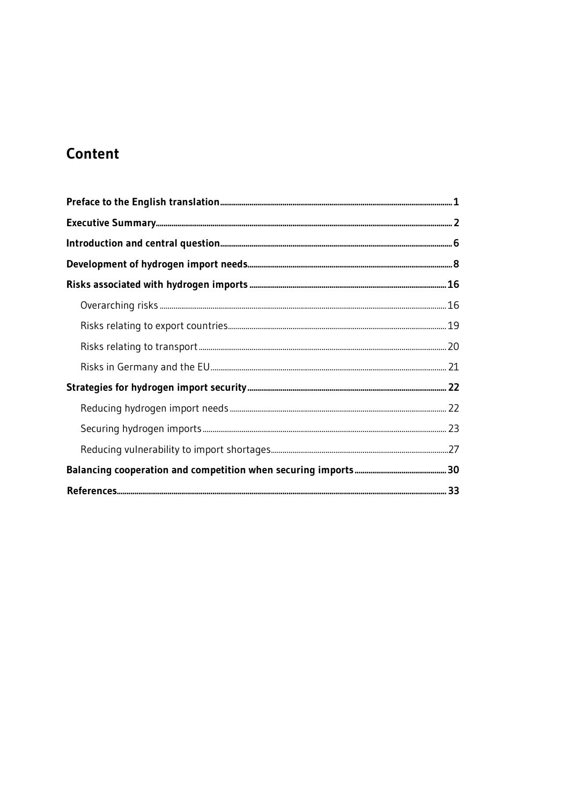# **Content**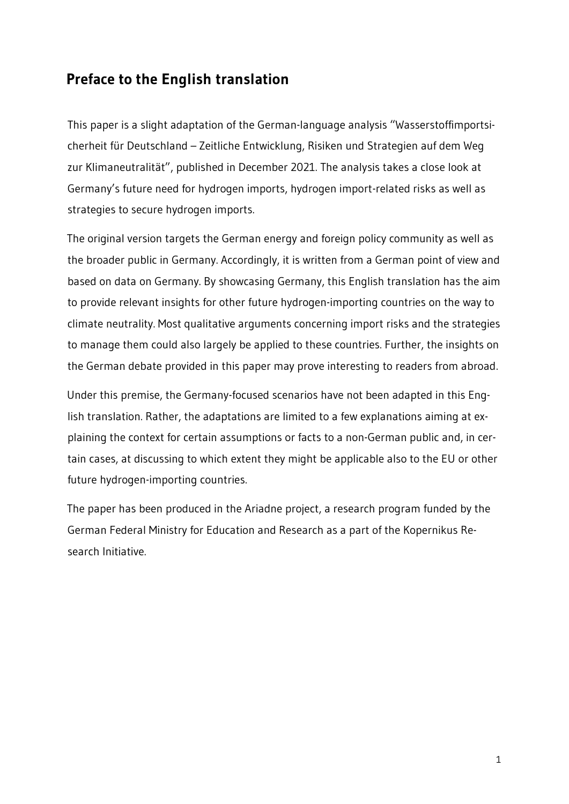## <span id="page-3-0"></span>**Preface to the English translation**

This paper is a slight adaptation of the German-language analysis "Wasserstoffimportsicherheit für Deutschland – Zeitliche Entwicklung, Risiken und Strategien auf dem Weg zur Klimaneutralität", published in December 2021. The analysis takes a close look at Germany's future need for hydrogen imports, hydrogen import-related risks as well as strategies to secure hydrogen imports.

The original version targets the German energy and foreign policy community as well as the broader public in Germany. Accordingly, it is written from a German point of view and based on data on Germany. By showcasing Germany, this English translation has the aim to provide relevant insights for other future hydrogen-importing countries on the way to climate neutrality. Most qualitative arguments concerning import risks and the strategies to manage them could also largely be applied to these countries. Further, the insights on the German debate provided in this paper may prove interesting to readers from abroad.

Under this premise, the Germany-focused scenarios have not been adapted in this English translation. Rather, the adaptations are limited to a few explanations aiming at explaining the context for certain assumptions or facts to a non-German public and, in certain cases, at discussing to which extent they might be applicable also to the EU or other future hydrogen-importing countries.

The paper has been produced in the Ariadne project, a research program funded by the German Federal Ministry for Education and Research as a part of the Kopernikus Research Initiative.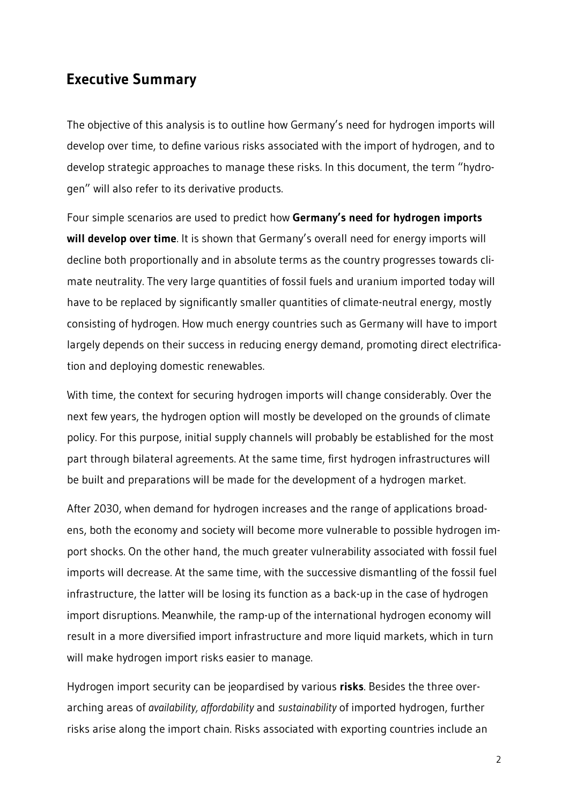### <span id="page-4-0"></span>**Executive Summary**

The objective of this analysis is to outline how Germany's need for hydrogen imports will develop over time, to define various risks associated with the import of hydrogen, and to develop strategic approaches to manage these risks. In this document, the term "hydrogen" will also refer to its derivative products.

Four simple scenarios are used to predict how **Germany's need for hydrogen imports will develop over time**. It is shown that Germany's overall need for energy imports will decline both proportionally and in absolute terms as the country progresses towards climate neutrality. The very large quantities of fossil fuels and uranium imported today will have to be replaced by significantly smaller quantities of climate-neutral energy, mostly consisting of hydrogen. How much energy countries such as Germany will have to import largely depends on their success in reducing energy demand, promoting direct electrification and deploying domestic renewables.

With time, the context for securing hydrogen imports will change considerably. Over the next few years, the hydrogen option will mostly be developed on the grounds of climate policy. For this purpose, initial supply channels will probably be established for the most part through bilateral agreements. At the same time, first hydrogen infrastructures will be built and preparations will be made for the development of a hydrogen market.

After 2030, when demand for hydrogen increases and the range of applications broadens, both the economy and society will become more vulnerable to possible hydrogen import shocks. On the other hand, the much greater vulnerability associated with fossil fuel imports will decrease. At the same time, with the successive dismantling of the fossil fuel infrastructure, the latter will be losing its function as a back-up in the case of hydrogen import disruptions. Meanwhile, the ramp-up of the international hydrogen economy will result in a more diversified import infrastructure and more liquid markets, which in turn will make hydrogen import risks easier to manage.

Hydrogen import security can be jeopardised by various **risks**. Besides the three overarching areas of *availability, affordability* and *sustainability* of imported hydrogen, further risks arise along the import chain. Risks associated with exporting countries include an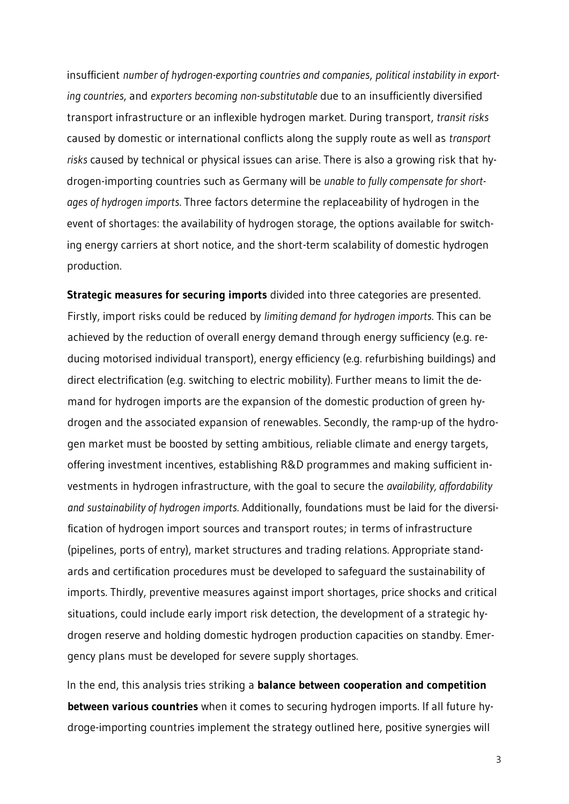insufficient *number of hydrogen-exporting countries and companies*, *political instability in exporting countries*, and *exporters becoming non-substitutable* due to an insufficiently diversified transport infrastructure or an inflexible hydrogen market. During transport, *transit risks* caused by domestic or international conflicts along the supply route as well as *transport risks* caused by technical or physical issues can arise. There is also a growing risk that hydrogen-importing countries such as Germany will be *unable to fully compensate for shortages of hydrogen imports*. Three factors determine the replaceability of hydrogen in the event of shortages: the availability of hydrogen storage, the options available for switching energy carriers at short notice, and the short-term scalability of domestic hydrogen production.

**Strategic measures for securing imports** divided into three categories are presented. Firstly, import risks could be reduced by *limiting demand for hydrogen imports*. This can be achieved by the reduction of overall energy demand through energy sufficiency (e.g. reducing motorised individual transport), energy efficiency (e.g. refurbishing buildings) and direct electrification (e.g. switching to electric mobility). Further means to limit the demand for hydrogen imports are the expansion of the domestic production of green hydrogen and the associated expansion of renewables. Secondly, the ramp-up of the hydrogen market must be boosted by setting ambitious, reliable climate and energy targets, offering investment incentives, establishing R&D programmes and making sufficient investments in hydrogen infrastructure, with the goal to secure the *availability, affordability and sustainability of hydrogen imports*. Additionally, foundations must be laid for the diversification of hydrogen import sources and transport routes; in terms of infrastructure (pipelines, ports of entry), market structures and trading relations. Appropriate standards and certification procedures must be developed to safeguard the sustainability of imports. Thirdly, preventive measures against import shortages, price shocks and critical situations, could include early import risk detection, the development of a strategic hydrogen reserve and holding domestic hydrogen production capacities on standby. Emergency plans must be developed for severe supply shortages.

In the end, this analysis tries striking a **balance between cooperation and competition between various countries** when it comes to securing hydrogen imports. If all future hydroge-importing countries implement the strategy outlined here, positive synergies will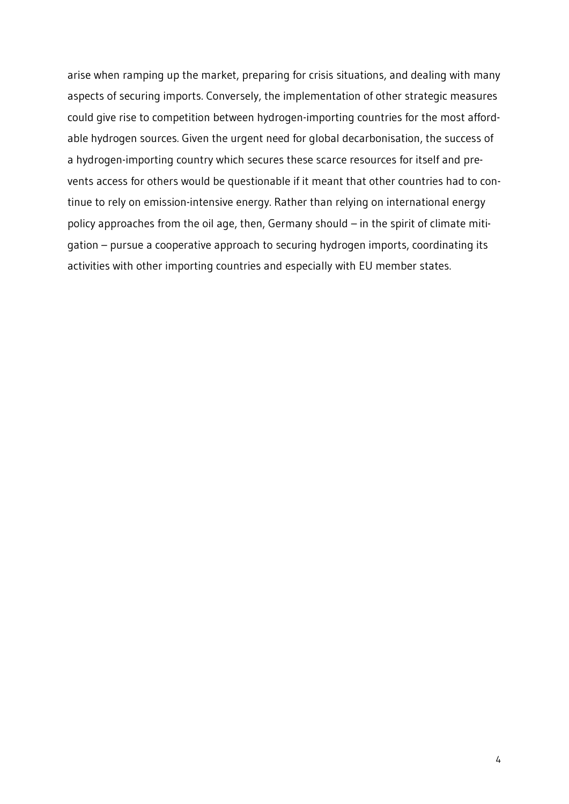arise when ramping up the market, preparing for crisis situations, and dealing with many aspects of securing imports. Conversely, the implementation of other strategic measures could give rise to competition between hydrogen-importing countries for the most affordable hydrogen sources. Given the urgent need for global decarbonisation, the success of a hydrogen-importing country which secures these scarce resources for itself and prevents access for others would be questionable if it meant that other countries had to continue to rely on emission-intensive energy. Rather than relying on international energy policy approaches from the oil age, then, Germany should – in the spirit of climate mitigation – pursue a cooperative approach to securing hydrogen imports, coordinating its activities with other importing countries and especially with EU member states.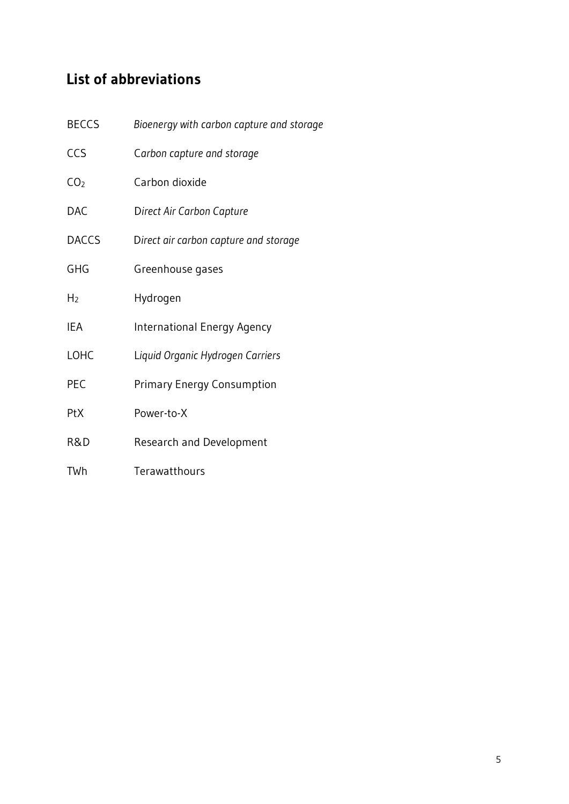# **List of abbreviations**

| <b>BECCS</b>    | Bioenergy with carbon capture and storage |
|-----------------|-------------------------------------------|
| CCS             | Carbon capture and storage                |
| CO <sub>2</sub> | Carbon dioxide                            |
| <b>DAC</b>      | Direct Air Carbon Capture                 |
| <b>DACCS</b>    | Direct air carbon capture and storage     |
| <b>GHG</b>      | Greenhouse gases                          |
| H <sub>2</sub>  | Hydrogen                                  |
| <b>IEA</b>      | International Energy Agency               |
| LOHC            | Liquid Organic Hydrogen Carriers          |
| PEC             | <b>Primary Energy Consumption</b>         |
| PtX             | Power-to-X                                |
| R&D             | <b>Research and Development</b>           |
| TWh             | Terawatthours                             |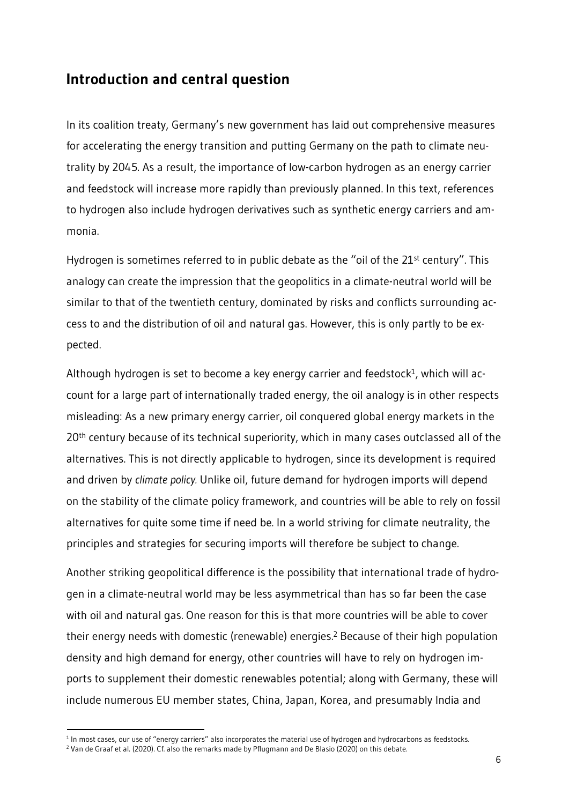### <span id="page-8-0"></span>**Introduction and central question**

In its coalition treaty, Germany's new government has laid out comprehensive measures for accelerating the energy transition and putting Germany on the path to climate neutrality by 2045. As a result, the importance of low-carbon hydrogen as an energy carrier and feedstock will increase more rapidly than previously planned. In this text, references to hydrogen also include hydrogen derivatives such as synthetic energy carriers and ammonia.

Hydrogen is sometimes referred to in public debate as the "oil of the 21<sup>st</sup> century". This analogy can create the impression that the geopolitics in a climate-neutral world will be similar to that of the twentieth century, dominated by risks and conflicts surrounding access to and the distribution of oil and natural gas. However, this is only partly to be expected.

Although hydrogen is set to become a key energy carrier and feedstock $^1$ , which will account for a large part of internationally traded energy, the oil analogy is in other respects misleading: As a new primary energy carrier, oil conquered global energy markets in the 20<sup>th</sup> century because of its technical superiority, which in many cases outclassed all of the alternatives. This is not directly applicable to hydrogen, since its development is required and driven by *climate policy.* Unlike oil, future demand for hydrogen imports will depend on the stability of the climate policy framework, and countries will be able to rely on fossil alternatives for quite some time if need be. In a world striving for climate neutrality, the principles and strategies for securing imports will therefore be subject to change.

Another striking geopolitical difference is the possibility that international trade of hydrogen in a climate-neutral world may be less asymmetrical than has so far been the case with oil and natural gas. One reason for this is that more countries will be able to cover their energy needs with domestic (renewable) energies. <sup>2</sup> Because of their high population density and high demand for energy, other countries will have to rely on hydrogen imports to supplement their domestic renewables potential; along with Germany, these will include numerous EU member states, China, Japan, Korea, and presumably India and

<sup>-</sup> $^{\rm 1}$  In most cases, our use of "energy carriers" also incorporates the material use of hydrogen and hydrocarbons as feedstocks.

<sup>2</sup> Van de Graaf et al. (2020). Cf. also the remarks made by Pflugmann and De Blasio (2020) on this debate.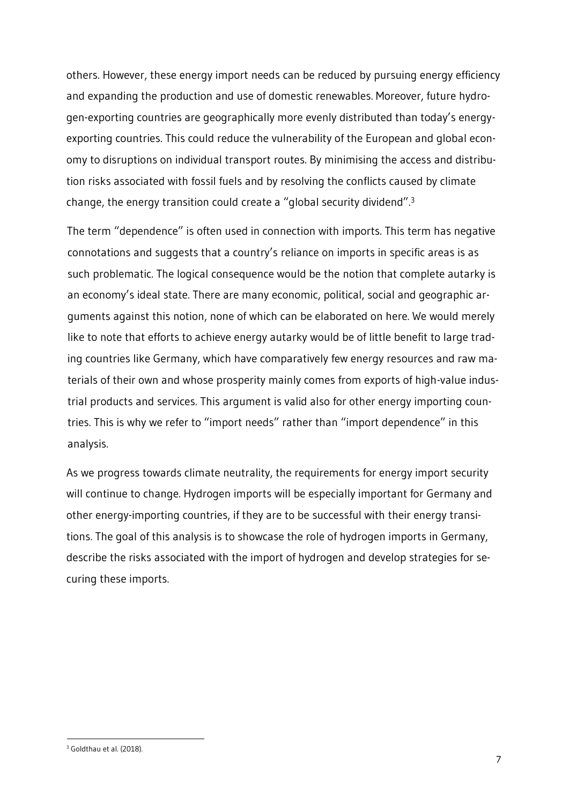others. However, these energy import needs can be reduced by pursuing energy efficiency and expanding the production and use of domestic renewables. Moreover, future hydrogen-exporting countries are geographically more evenly distributed than today's energyexporting countries. This could reduce the vulnerability of the European and global economy to disruptions on individual transport routes. By minimising the access and distribution risks associated with fossil fuels and by resolving the conflicts caused by climate change, the energy transition could create a "global security dividend".<sup>3</sup>

The term "dependence" is often used in connection with imports. This term has negative connotations and suggests that a country's reliance on imports in specific areas is as such problematic. The logical consequence would be the notion that complete autarky is an economy's ideal state. There are many economic, political, social and geographic arguments against this notion, none of which can be elaborated on here. We would merely like to note that efforts to achieve energy autarky would be of little benefit to large trading countries like Germany, which have comparatively few energy resources and raw materials of their own and whose prosperity mainly comes from exports of high-value industrial products and services. This argument is valid also for other energy importing countries. This is why we refer to "import needs" rather than "import dependence" in this analysis.

As we progress towards climate neutrality, the requirements for energy import security will continue to change. Hydrogen imports will be especially important for Germany and other energy-importing countries, if they are to be successful with their energy transitions. The goal of this analysis is to showcase the role of hydrogen imports in Germany, describe the risks associated with the import of hydrogen and develop strategies for securing these imports.

<sup>-</sup><sup>3</sup> Goldthau et al. (2018).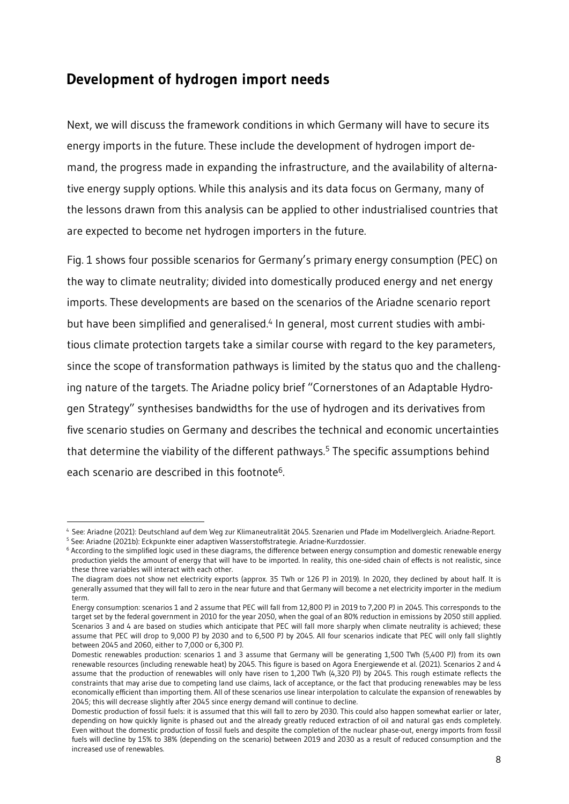## <span id="page-10-0"></span>**Development of hydrogen import needs**

Next, we will discuss the framework conditions in which Germany will have to secure its energy imports in the future. These include the development of hydrogen import demand, the progress made in expanding the infrastructure, and the availability of alternative energy supply options. While this analysis and its data focus on Germany, many of the lessons drawn from this analysis can be applied to other industrialised countries that are expected to become net hydrogen importers in the future.

Fig. 1 shows four possible scenarios for Germany's primary energy consumption (PEC) on the way to climate neutrality; divided into domestically produced energy and net energy imports. These developments are based on the scenarios of the Ariadne scenario report but have been simplified and generalised.<sup>4</sup> In general, most current studies with ambitious climate protection targets take a similar course with regard to the key parameters, since the scope of transformation pathways is limited by the status quo and the challenging nature of the targets. The Ariadne policy brief "Cornerstones of an Adaptable Hydrogen Strategy" synthesises bandwidths for the use of hydrogen and its derivatives from five scenario studies on Germany and describes the technical and economic uncertainties that determine the viability of the different pathways.<sup>5</sup> The specific assumptions behind each scenario are described in this footnote<sup>6</sup> .

<sup>-</sup><sup>4</sup> See: Ariadne (2021): Deutschland auf dem Weg zur Klimaneutralität 2045. Szenarien und Pfade im Modellvergleich. Ariadne-Report.

<sup>5</sup> See: Ariadne (2021b): Eckpunkte einer adaptiven Wasserstoffstrategie. Ariadne-Kurzdossier.

<sup>6</sup> According to the simplified logic used in these diagrams, the difference between energy consumption and domestic renewable energy production yields the amount of energy that will have to be imported. In reality, this one-sided chain of effects is not realistic, since these three variables will interact with each other.

The diagram does not show net electricity exports (approx. 35 TWh or 126 PJ in 2019). In 2020, they declined by about half. It is generally assumed that they will fall to zero in the near future and that Germany will become a net electricity importer in the medium term.

Energy consumption: scenarios 1 and 2 assume that PEC will fall from 12,800 PJ in 2019 to 7,200 PJ in 2045. This corresponds to the target set by the federal government in 2010 for the year 2050, when the goal of an 80% reduction in emissions by 2050 still applied. Scenarios 3 and 4 are based on studies which anticipate that PEC will fall more sharply when climate neutrality is achieved; these assume that PEC will drop to 9,000 PJ by 2030 and to 6,500 PJ by 2045. All four scenarios indicate that PEC will only fall slightly between 2045 and 2060, either to 7,000 or 6,300 PJ.

Domestic renewables production: scenarios 1 and 3 assume that Germany will be generating 1,500 TWh (5,400 PJ) from its own renewable resources (including renewable heat) by 2045. This figure is based on Agora Energiewende et al. (2021). Scenarios 2 and 4 assume that the production of renewables will only have risen to 1,200 TWh (4,320 PJ) by 2045. This rough estimate reflects the constraints that may arise due to competing land use claims, lack of acceptance, or the fact that producing renewables may be less economically efficient than importing them. All of these scenarios use linear interpolation to calculate the expansion of renewables by 2045; this will decrease slightly after 2045 since energy demand will continue to decline.

Domestic production of fossil fuels: it is assumed that this will fall to zero by 2030. This could also happen somewhat earlier or later, depending on how quickly lignite is phased out and the already greatly reduced extraction of oil and natural gas ends completely. Even without the domestic production of fossil fuels and despite the completion of the nuclear phase-out, energy imports from fossil fuels will decline by 15% to 38% (depending on the scenario) between 2019 and 2030 as a result of reduced consumption and the increased use of renewables.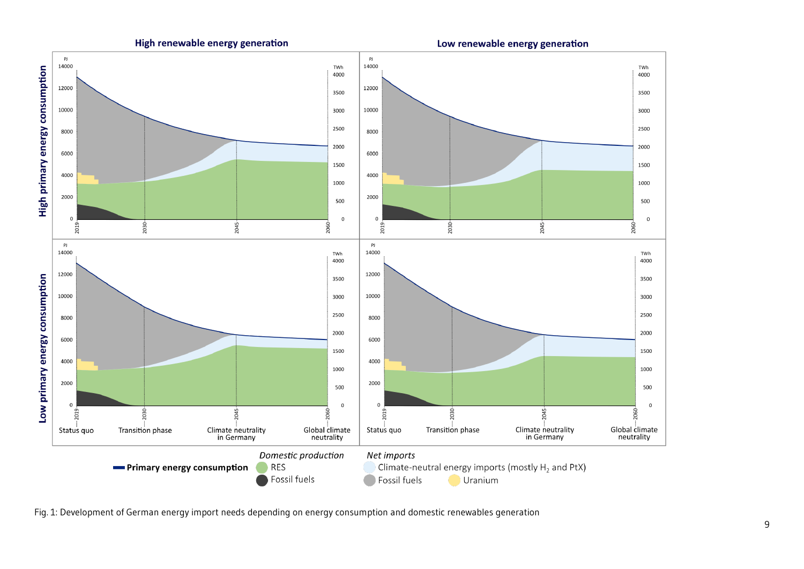

Fig. 1: Development of German energy import needs depending on energy consumption and domestic renewables generation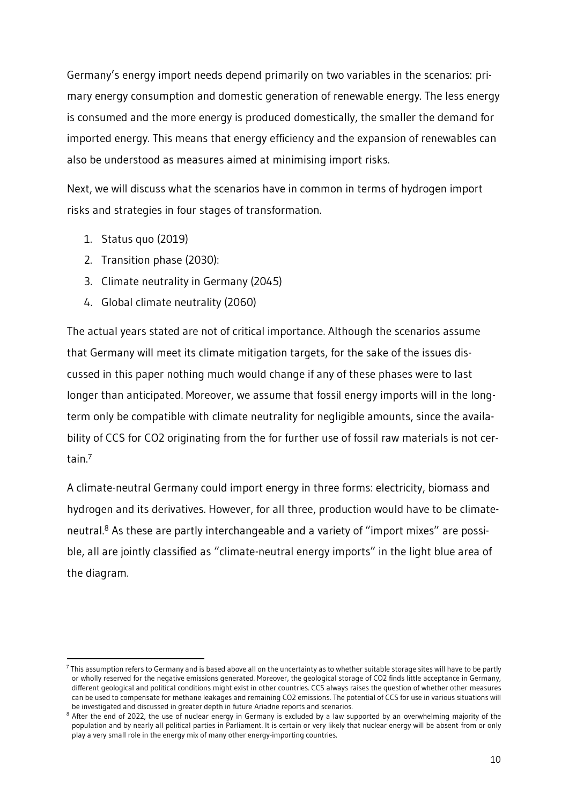Germany's energy import needs depend primarily on two variables in the scenarios: primary energy consumption and domestic generation of renewable energy. The less energy is consumed and the more energy is produced domestically, the smaller the demand for imported energy. This means that energy efficiency and the expansion of renewables can also be understood as measures aimed at minimising import risks.

Next, we will discuss what the scenarios have in common in terms of hydrogen import risks and strategies in four stages of transformation.

- 1. Status quo (2019)
- 2. Transition phase (2030):
- 3. Climate neutrality in Germany (2045)
- 4. Global climate neutrality (2060)

The actual years stated are not of critical importance. Although the scenarios assume that Germany will meet its climate mitigation targets, for the sake of the issues discussed in this paper nothing much would change if any of these phases were to last longer than anticipated. Moreover, we assume that fossil energy imports will in the longterm only be compatible with climate neutrality for negligible amounts, since the availability of CCS for CO2 originating from the for further use of fossil raw materials is not certain. 7

A climate-neutral Germany could import energy in three forms: electricity, biomass and hydrogen and its derivatives. However, for all three, production would have to be climateneutral.<sup>8</sup> As these are partly interchangeable and a variety of "import mixes" are possible, all are jointly classified as "climate-neutral energy imports" in the light blue area of the diagram.

<sup>-</sup><sup>7</sup> This assumption refers to Germany and is based above all on the uncertainty as to whether suitable storage sites will have to be partly or wholly reserved for the negative emissions generated. Moreover, the geological storage of CO2 finds little acceptance in Germany, different geological and political conditions might exist in other countries. CCS always raises the question of whether other measures can be used to compensate for methane leakages and remaining CO2 emissions. The potential of CCS for use in various situations will be investigated and discussed in greater depth in future Ariadne reports and scenarios.

<sup>&</sup>lt;sup>8</sup> After the end of 2022, the use of nuclear energy in Germany is excluded by a law supported by an overwhelming majority of the population and by nearly all political parties in Parliament. It is certain or very likely that nuclear energy will be absent from or only play a very small role in the energy mix of many other energy-importing countries.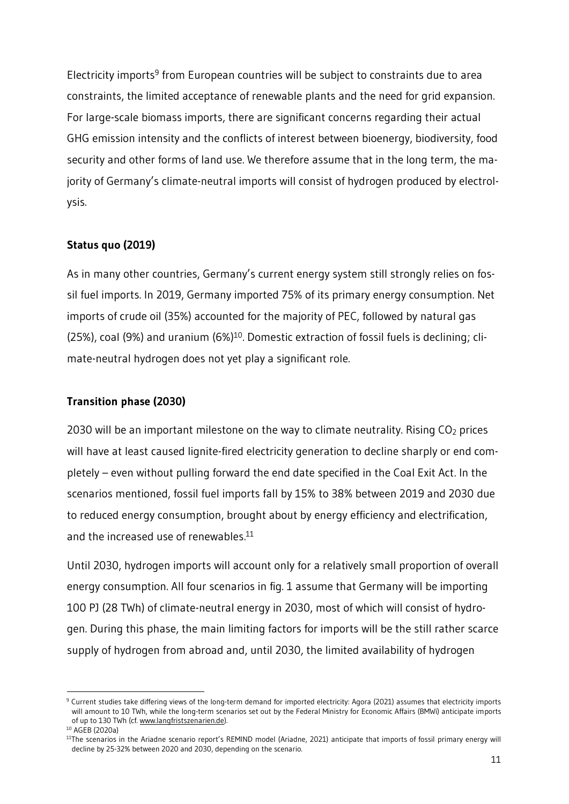Electricity imports<sup>9</sup> from European countries will be subject to constraints due to area constraints, the limited acceptance of renewable plants and the need for grid expansion. For large-scale biomass imports, there are significant concerns regarding their actual GHG emission intensity and the conflicts of interest between bioenergy, biodiversity, food security and other forms of land use. We therefore assume that in the long term, the majority of Germany's climate-neutral imports will consist of hydrogen produced by electrolysis.

#### **Status quo (2019)**

As in many other countries, Germany's current energy system still strongly relies on fossil fuel imports. In 2019, Germany imported 75% of its primary energy consumption. Net imports of crude oil (35%) accounted for the majority of PEC, followed by natural gas (25%), coal (9%) and uranium (6%)10. Domestic extraction of fossil fuels is declining; climate-neutral hydrogen does not yet play a significant role.

#### **Transition phase (2030)**

2030 will be an important milestone on the way to climate neutrality. Rising  $CO<sub>2</sub>$  prices will have at least caused lignite-fired electricity generation to decline sharply or end completely – even without pulling forward the end date specified in the Coal Exit Act. In the scenarios mentioned, fossil fuel imports fall by 15% to 38% between 2019 and 2030 due to reduced energy consumption, brought about by energy efficiency and electrification, and the increased use of renewables.<sup>11</sup>

Until 2030, hydrogen imports will account only for a relatively small proportion of overall energy consumption. All four scenarios in fig. 1 assume that Germany will be importing 100 PJ (28 TWh) of climate-neutral energy in 2030, most of which will consist of hydrogen. During this phase, the main limiting factors for imports will be the still rather scarce supply of hydrogen from abroad and, until 2030, the limited availability of hydrogen

<sup>-</sup> $^9$  Current studies take differing views of the long-term demand for imported electricity: Agora (2021) assumes that electricity imports will amount to 10 TWh, while the long-term scenarios set out by the Federal Ministry for Economic Affairs (BMWi) anticipate imports of up to 130 TWh (cf[. www.langfristszenarien.de\).](http://www.langfristszenarien.de/)

<sup>10</sup> AGEB (2020a)

 $11$ The scenarios in the Ariadne scenario report's REMIND model (Ariadne, 2021) anticipate that imports of fossil primary energy will decline by 25-32% between 2020 and 2030, depending on the scenario.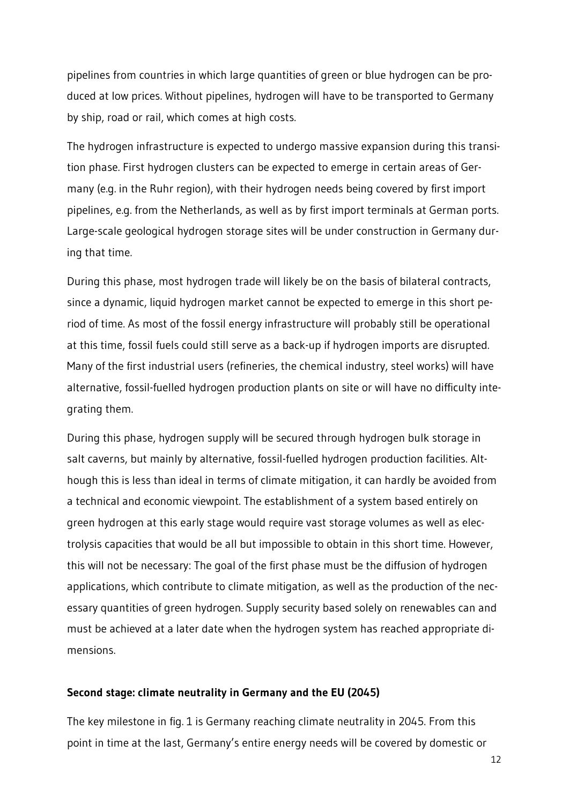pipelines from countries in which large quantities of green or blue hydrogen can be produced at low prices. Without pipelines, hydrogen will have to be transported to Germany by ship, road or rail, which comes at high costs.

The hydrogen infrastructure is expected to undergo massive expansion during this transition phase. First hydrogen clusters can be expected to emerge in certain areas of Germany (e.g. in the Ruhr region), with their hydrogen needs being covered by first import pipelines, e.g. from the Netherlands, as well as by first import terminals at German ports. Large-scale geological hydrogen storage sites will be under construction in Germany during that time.

During this phase, most hydrogen trade will likely be on the basis of bilateral contracts, since a dynamic, liquid hydrogen market cannot be expected to emerge in this short period of time. As most of the fossil energy infrastructure will probably still be operational at this time, fossil fuels could still serve as a back-up if hydrogen imports are disrupted. Many of the first industrial users (refineries, the chemical industry, steel works) will have alternative, fossil-fuelled hydrogen production plants on site or will have no difficulty integrating them.

During this phase, hydrogen supply will be secured through hydrogen bulk storage in salt caverns, but mainly by alternative, fossil-fuelled hydrogen production facilities. Although this is less than ideal in terms of climate mitigation, it can hardly be avoided from a technical and economic viewpoint. The establishment of a system based entirely on green hydrogen at this early stage would require vast storage volumes as well as electrolysis capacities that would be all but impossible to obtain in this short time. However, this will not be necessary: The goal of the first phase must be the diffusion of hydrogen applications, which contribute to climate mitigation, as well as the production of the necessary quantities of green hydrogen. Supply security based solely on renewables can and must be achieved at a later date when the hydrogen system has reached appropriate dimensions.

#### **Second stage: climate neutrality in Germany and the EU (2045)**

The key milestone in fig. 1 is Germany reaching climate neutrality in 2045. From this point in time at the last, Germany's entire energy needs will be covered by domestic or

12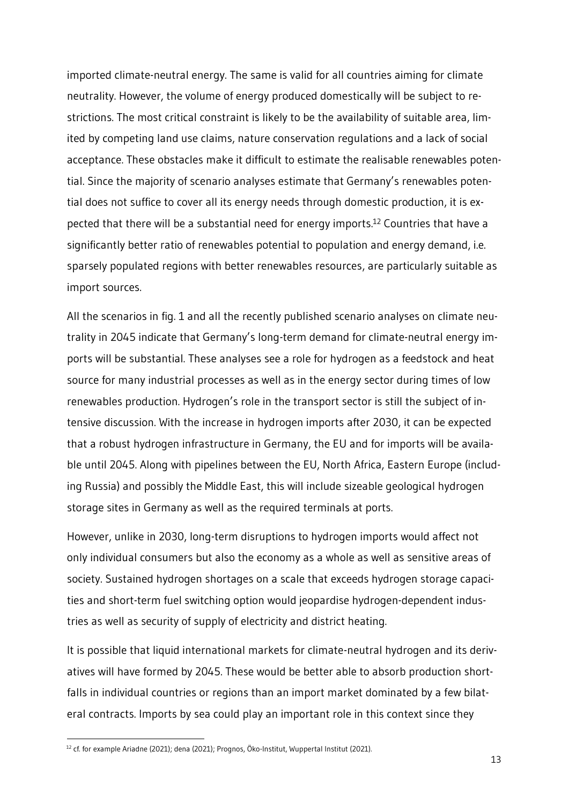imported climate-neutral energy. The same is valid for all countries aiming for climate neutrality. However, the volume of energy produced domestically will be subject to restrictions. The most critical constraint is likely to be the availability of suitable area, limited by competing land use claims, nature conservation regulations and a lack of social acceptance. These obstacles make it difficult to estimate the realisable renewables potential. Since the majority of scenario analyses estimate that Germany's renewables potential does not suffice to cover all its energy needs through domestic production, it is expected that there will be a substantial need for energy imports. <sup>12</sup> Countries that have a significantly better ratio of renewables potential to population and energy demand, i.e. sparsely populated regions with better renewables resources, are particularly suitable as import sources.

All the scenarios in fig. 1 and all the recently published scenario analyses on climate neutrality in 2045 indicate that Germany's long-term demand for climate-neutral energy imports will be substantial. These analyses see a role for hydrogen as a feedstock and heat source for many industrial processes as well as in the energy sector during times of low renewables production. Hydrogen's role in the transport sector is still the subject of intensive discussion. With the increase in hydrogen imports after 2030, it can be expected that a robust hydrogen infrastructure in Germany, the EU and for imports will be available until 2045. Along with pipelines between the EU, North Africa, Eastern Europe (including Russia) and possibly the Middle East, this will include sizeable geological hydrogen storage sites in Germany as well as the required terminals at ports.

However, unlike in 2030, long-term disruptions to hydrogen imports would affect not only individual consumers but also the economy as a whole as well as sensitive areas of society. Sustained hydrogen shortages on a scale that exceeds hydrogen storage capacities and short-term fuel switching option would jeopardise hydrogen-dependent industries as well as security of supply of electricity and district heating.

It is possible that liquid international markets for climate-neutral hydrogen and its derivatives will have formed by 2045. These would be better able to absorb production shortfalls in individual countries or regions than an import market dominated by a few bilateral contracts. Imports by sea could play an important role in this context since they

-

 $^{12}$  cf. for example Ariadne (2021); dena (2021); Prognos, Öko-Institut, Wuppertal Institut (2021).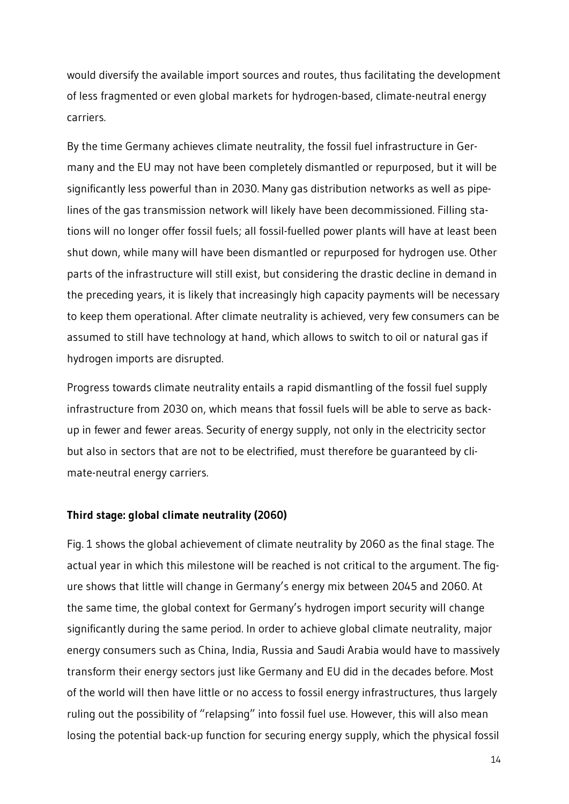would diversify the available import sources and routes, thus facilitating the development of less fragmented or even global markets for hydrogen-based, climate-neutral energy carriers.

By the time Germany achieves climate neutrality, the fossil fuel infrastructure in Germany and the EU may not have been completely dismantled or repurposed, but it will be significantly less powerful than in 2030. Many gas distribution networks as well as pipelines of the gas transmission network will likely have been decommissioned. Filling stations will no longer offer fossil fuels; all fossil-fuelled power plants will have at least been shut down, while many will have been dismantled or repurposed for hydrogen use. Other parts of the infrastructure will still exist, but considering the drastic decline in demand in the preceding years, it is likely that increasingly high capacity payments will be necessary to keep them operational. After climate neutrality is achieved, very few consumers can be assumed to still have technology at hand, which allows to switch to oil or natural gas if hydrogen imports are disrupted.

Progress towards climate neutrality entails a rapid dismantling of the fossil fuel supply infrastructure from 2030 on, which means that fossil fuels will be able to serve as backup in fewer and fewer areas. Security of energy supply, not only in the electricity sector but also in sectors that are not to be electrified, must therefore be guaranteed by climate-neutral energy carriers.

#### **Third stage: global climate neutrality (2060)**

Fig. 1 shows the global achievement of climate neutrality by 2060 as the final stage. The actual year in which this milestone will be reached is not critical to the argument. The figure shows that little will change in Germany's energy mix between 2045 and 2060. At the same time, the global context for Germany's hydrogen import security will change significantly during the same period. In order to achieve global climate neutrality, major energy consumers such as China, India, Russia and Saudi Arabia would have to massively transform their energy sectors just like Germany and EU did in the decades before. Most of the world will then have little or no access to fossil energy infrastructures, thus largely ruling out the possibility of "relapsing" into fossil fuel use. However, this will also mean losing the potential back-up function for securing energy supply, which the physical fossil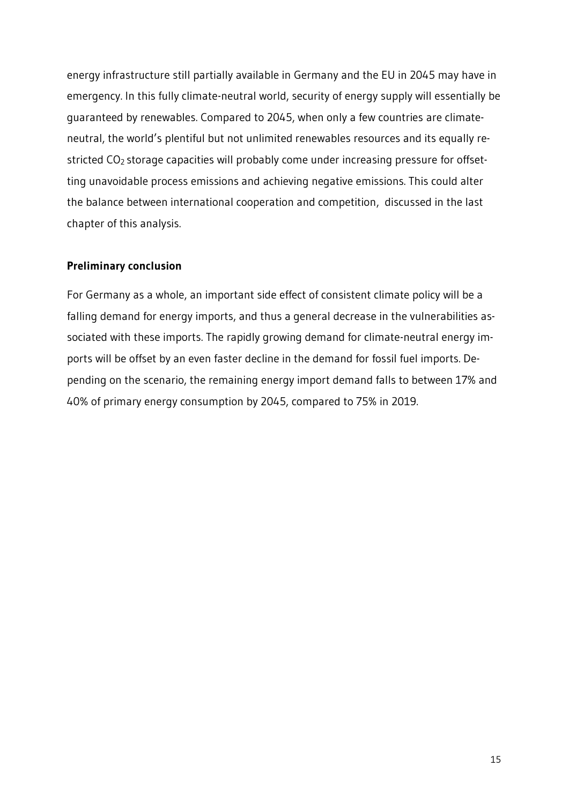energy infrastructure still partially available in Germany and the EU in 2045 may have in emergency. In this fully climate-neutral world, security of energy supply will essentially be guaranteed by renewables. Compared to 2045, when only a few countries are climateneutral, the world's plentiful but not unlimited renewables resources and its equally restricted CO<sub>2</sub> storage capacities will probably come under increasing pressure for offsetting unavoidable process emissions and achieving negative emissions. This could alter the balance between international cooperation and competition, discussed in the last chapter of this analysis.

#### **Preliminary conclusion**

For Germany as a whole, an important side effect of consistent climate policy will be a falling demand for energy imports, and thus a general decrease in the vulnerabilities associated with these imports. The rapidly growing demand for climate-neutral energy imports will be offset by an even faster decline in the demand for fossil fuel imports. Depending on the scenario, the remaining energy import demand falls to between 17% and 40% of primary energy consumption by 2045, compared to 75% in 2019.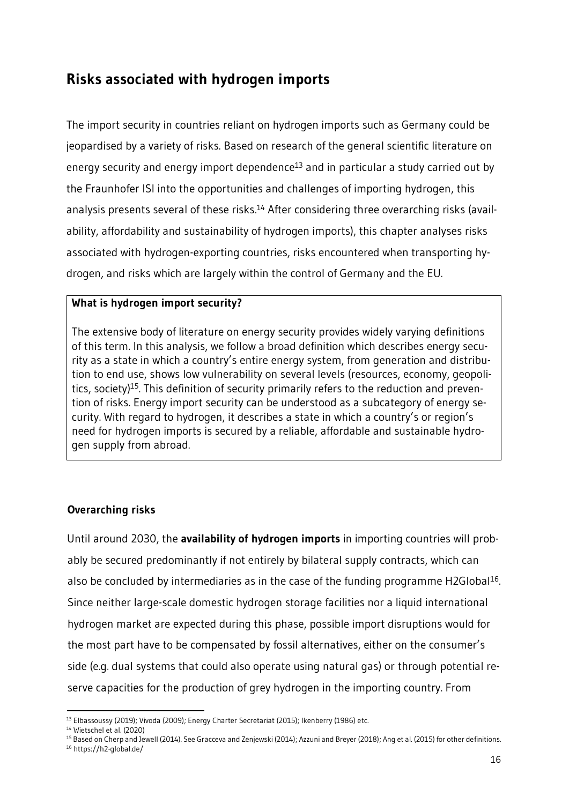# <span id="page-18-0"></span>**Risks associated with hydrogen imports**

The import security in countries reliant on hydrogen imports such as Germany could be jeopardised by a variety of risks. Based on research of the general scientific literature on energy security and energy import dependence<sup>13</sup> and in particular a study carried out by the Fraunhofer ISI into the opportunities and challenges of importing hydrogen, this analysis presents several of these risks. <sup>14</sup> After considering three overarching risks (availability, affordability and sustainability of hydrogen imports), this chapter analyses risks associated with hydrogen-exporting countries, risks encountered when transporting hydrogen, and risks which are largely within the control of Germany and the EU.

### **What is hydrogen import security?**

The extensive body of literature on energy security provides widely varying definitions of this term. In this analysis, we follow a broad definition which describes energy security as a state in which a country's entire energy system, from generation and distribution to end use, shows low vulnerability on several levels (resources, economy, geopolitics, society)<sup>15</sup>. This definition of security primarily refers to the reduction and prevention of risks. Energy import security can be understood as a subcategory of energy security. With regard to hydrogen, it describes a state in which a country's or region's need for hydrogen imports is secured by a reliable, affordable and sustainable hydrogen supply from abroad.

### <span id="page-18-1"></span>**Overarching risks**

Until around 2030, the **availability of hydrogen imports** in importing countries will probably be secured predominantly if not entirely by bilateral supply contracts, which can also be concluded by intermediaries as in the case of the funding programme H2Global<sup>16</sup>. Since neither large-scale domestic hydrogen storage facilities nor a liquid international hydrogen market are expected during this phase, possible import disruptions would for the most part have to be compensated by fossil alternatives, either on the consumer's side (e.g. dual systems that could also operate using natural gas) or through potential reserve capacities for the production of grey hydrogen in the importing country. From

<sup>-</sup><sup>13</sup> Elbassoussy (2019); Vivoda (2009); Energy Charter Secretariat (2015); Ikenberry (1986) etc.

 $14$  Wietschel et al. (2020)

<sup>&</sup>lt;sup>15</sup> Based on Cherp and Jewell (2014). See Gracceva and Zenjewski (2014); Azzuni and Breyer (2018); Ang et al. (2015) for other definitions. <sup>16</sup> https://h2-global.de/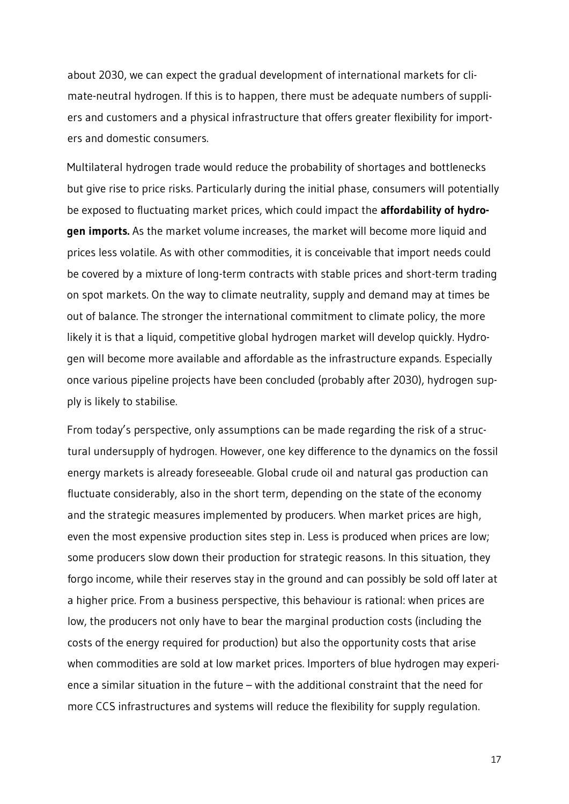about 2030, we can expect the gradual development of international markets for climate-neutral hydrogen. If this is to happen, there must be adequate numbers of suppliers and customers and a physical infrastructure that offers greater flexibility for importers and domestic consumers.

Multilateral hydrogen trade would reduce the probability of shortages and bottlenecks but give rise to price risks. Particularly during the initial phase, consumers will potentially be exposed to fluctuating market prices, which could impact the **affordability of hydrogen imports.** As the market volume increases, the market will become more liquid and prices less volatile. As with other commodities, it is conceivable that import needs could be covered by a mixture of long-term contracts with stable prices and short-term trading on spot markets. On the way to climate neutrality, supply and demand may at times be out of balance. The stronger the international commitment to climate policy, the more likely it is that a liquid, competitive global hydrogen market will develop quickly. Hydrogen will become more available and affordable as the infrastructure expands. Especially once various pipeline projects have been concluded (probably after 2030), hydrogen supply is likely to stabilise.

From today's perspective, only assumptions can be made regarding the risk of a structural undersupply of hydrogen. However, one key difference to the dynamics on the fossil energy markets is already foreseeable. Global crude oil and natural gas production can fluctuate considerably, also in the short term, depending on the state of the economy and the strategic measures implemented by producers. When market prices are high, even the most expensive production sites step in. Less is produced when prices are low; some producers slow down their production for strategic reasons. In this situation, they forgo income, while their reserves stay in the ground and can possibly be sold off later at a higher price. From a business perspective, this behaviour is rational: when prices are low, the producers not only have to bear the marginal production costs (including the costs of the energy required for production) but also the opportunity costs that arise when commodities are sold at low market prices. Importers of blue hydrogen may experience a similar situation in the future – with the additional constraint that the need for more CCS infrastructures and systems will reduce the flexibility for supply regulation.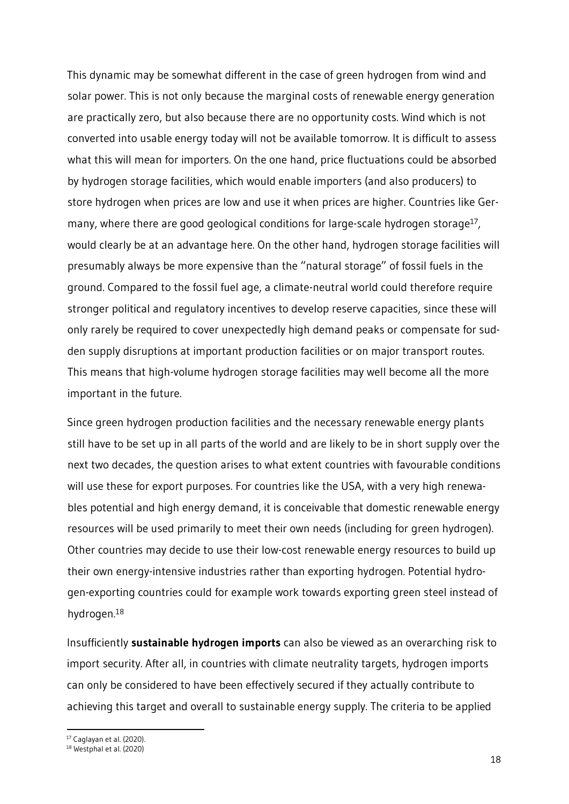This dynamic may be somewhat different in the case of green hydrogen from wind and solar power. This is not only because the marginal costs of renewable energy generation are practically zero, but also because there are no opportunity costs. Wind which is not converted into usable energy today will not be available tomorrow. It is difficult to assess what this will mean for importers. On the one hand, price fluctuations could be absorbed by hydrogen storage facilities, which would enable importers (and also producers) to store hydrogen when prices are low and use it when prices are higher. Countries like Germany, where there are good geological conditions for large-scale hydrogen storage<sup>17</sup>, would clearly be at an advantage here. On the other hand, hydrogen storage facilities will presumably always be more expensive than the "natural storage" of fossil fuels in the ground. Compared to the fossil fuel age, a climate-neutral world could therefore require stronger political and regulatory incentives to develop reserve capacities, since these will only rarely be required to cover unexpectedly high demand peaks or compensate for sudden supply disruptions at important production facilities or on major transport routes. This means that high-volume hydrogen storage facilities may well become all the more important in the future.

Since green hydrogen production facilities and the necessary renewable energy plants still have to be set up in all parts of the world and are likely to be in short supply over the next two decades, the question arises to what extent countries with favourable conditions will use these for export purposes. For countries like the USA, with a very high renewables potential and high energy demand, it is conceivable that domestic renewable energy resources will be used primarily to meet their own needs (including for green hydrogen). Other countries may decide to use their low-cost renewable energy resources to build up their own energy-intensive industries rather than exporting hydrogen. Potential hydrogen-exporting countries could for example work towards exporting green steel instead of hydrogen.<sup>18</sup>

Insufficiently **sustainable hydrogen imports** can also be viewed as an overarching risk to import security. After all, in countries with climate neutrality targets, hydrogen imports can only be considered to have been effectively secured if they actually contribute to achieving this target and overall to sustainable energy supply. The criteria to be applied

-

<sup>&</sup>lt;sup>17</sup> Caglayan et al. (2020).

 $18$  Westphal et al. (2020)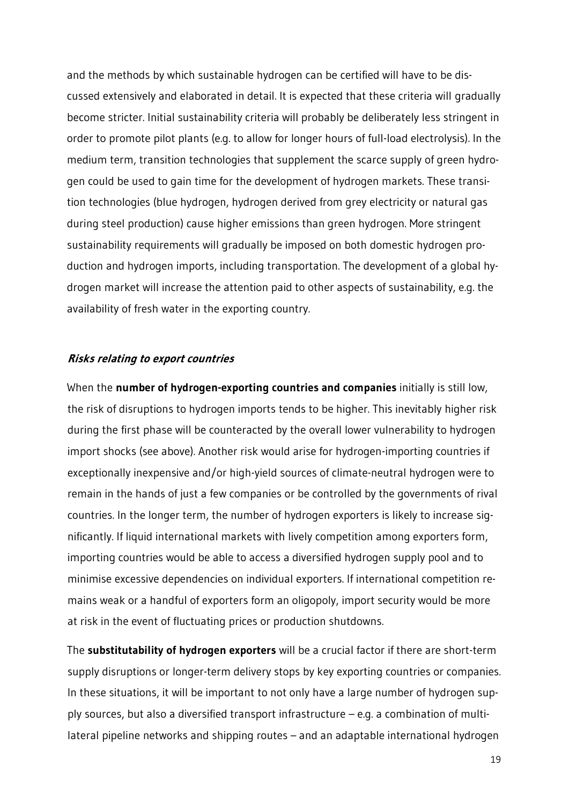and the methods by which sustainable hydrogen can be certified will have to be discussed extensively and elaborated in detail. It is expected that these criteria will gradually become stricter. Initial sustainability criteria will probably be deliberately less stringent in order to promote pilot plants (e.g. to allow for longer hours of full-load electrolysis). In the medium term, transition technologies that supplement the scarce supply of green hydrogen could be used to gain time for the development of hydrogen markets. These transition technologies (blue hydrogen, hydrogen derived from grey electricity or natural gas during steel production) cause higher emissions than green hydrogen. More stringent sustainability requirements will gradually be imposed on both domestic hydrogen production and hydrogen imports, including transportation. The development of a global hydrogen market will increase the attention paid to other aspects of sustainability, e.g. the availability of fresh water in the exporting country.

#### <span id="page-21-0"></span>**Risks relating to export countries**

When the **number of hydrogen-exporting countries and companies** initially is still low, the risk of disruptions to hydrogen imports tends to be higher. This inevitably higher risk during the first phase will be counteracted by the overall lower vulnerability to hydrogen import shocks (see above). Another risk would arise for hydrogen-importing countries if exceptionally inexpensive and/or high-yield sources of climate-neutral hydrogen were to remain in the hands of just a few companies or be controlled by the governments of rival countries. In the longer term, the number of hydrogen exporters is likely to increase significantly. If liquid international markets with lively competition among exporters form, importing countries would be able to access a diversified hydrogen supply pool and to minimise excessive dependencies on individual exporters. If international competition remains weak or a handful of exporters form an oligopoly, import security would be more at risk in the event of fluctuating prices or production shutdowns.

The **substitutability of hydrogen exporters** will be a crucial factor if there are short-term supply disruptions or longer-term delivery stops by key exporting countries or companies. In these situations, it will be important to not only have a large number of hydrogen supply sources, but also a diversified transport infrastructure – e.g. a combination of multilateral pipeline networks and shipping routes – and an adaptable international hydrogen

19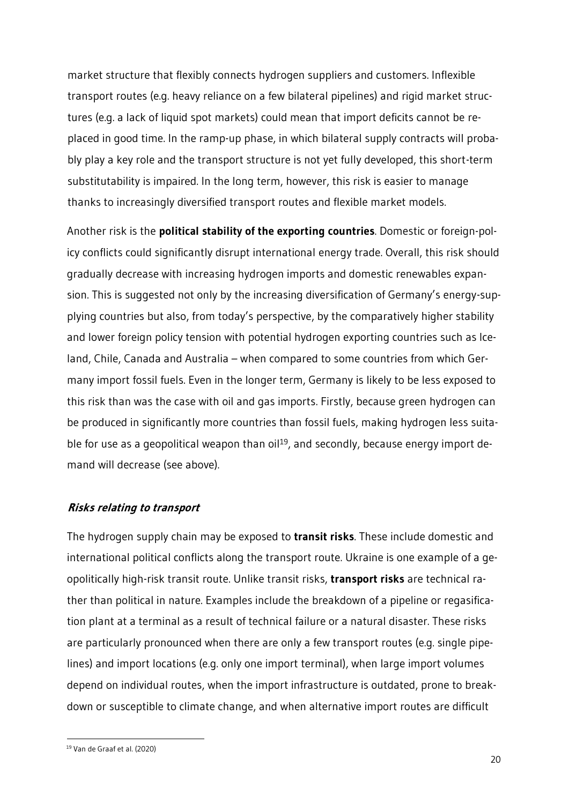market structure that flexibly connects hydrogen suppliers and customers. Inflexible transport routes (e.g. heavy reliance on a few bilateral pipelines) and rigid market structures (e.g. a lack of liquid spot markets) could mean that import deficits cannot be replaced in good time. In the ramp-up phase, in which bilateral supply contracts will probably play a key role and the transport structure is not yet fully developed, this short-term substitutability is impaired. In the long term, however, this risk is easier to manage thanks to increasingly diversified transport routes and flexible market models.

Another risk is the **political stability of the exporting countries**. Domestic or foreign-policy conflicts could significantly disrupt international energy trade. Overall, this risk should gradually decrease with increasing hydrogen imports and domestic renewables expansion. This is suggested not only by the increasing diversification of Germany's energy-supplying countries but also, from today's perspective, by the comparatively higher stability and lower foreign policy tension with potential hydrogen exporting countries such as Iceland, Chile, Canada and Australia – when compared to some countries from which Germany import fossil fuels. Even in the longer term, Germany is likely to be less exposed to this risk than was the case with oil and gas imports. Firstly, because green hydrogen can be produced in significantly more countries than fossil fuels, making hydrogen less suitable for use as a geopolitical weapon than  $\text{oil}^{19}$ , and secondly, because energy import demand will decrease (see above).

#### <span id="page-22-0"></span>**Risks relating to transport**

The hydrogen supply chain may be exposed to **transit risks**. These include domestic and international political conflicts along the transport route. Ukraine is one example of a geopolitically high-risk transit route. Unlike transit risks, **transport risks** are technical rather than political in nature. Examples include the breakdown of a pipeline or regasification plant at a terminal as a result of technical failure or a natural disaster. These risks are particularly pronounced when there are only a few transport routes (e.g. single pipelines) and import locations (e.g. only one import terminal), when large import volumes depend on individual routes, when the import infrastructure is outdated, prone to breakdown or susceptible to climate change, and when alternative import routes are difficult

-

<sup>&</sup>lt;sup>19</sup> Van de Graaf et al. (2020)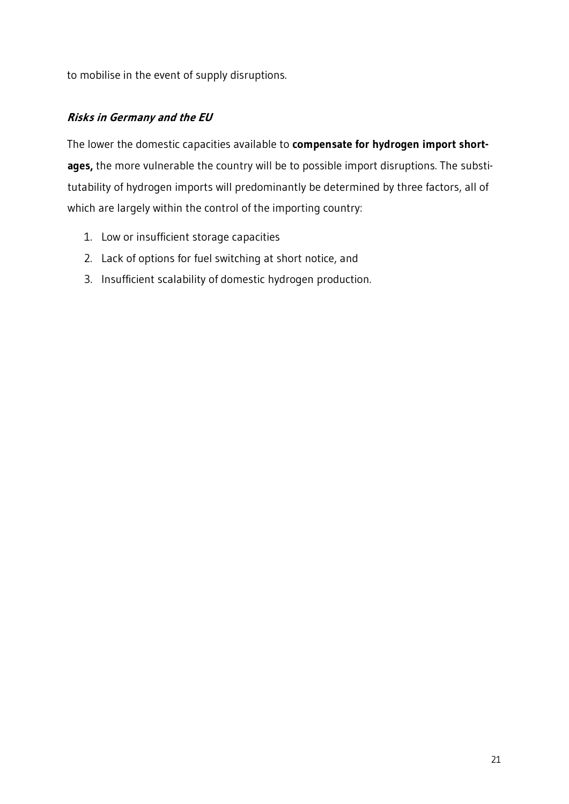to mobilise in the event of supply disruptions.

### <span id="page-23-0"></span>**Risks in Germany and the EU**

The lower the domestic capacities available to **compensate for hydrogen import shortages,** the more vulnerable the country will be to possible import disruptions. The substitutability of hydrogen imports will predominantly be determined by three factors, all of which are largely within the control of the importing country:

- 1. Low or insufficient storage capacities
- 2. Lack of options for fuel switching at short notice, and
- 3. Insufficient scalability of domestic hydrogen production.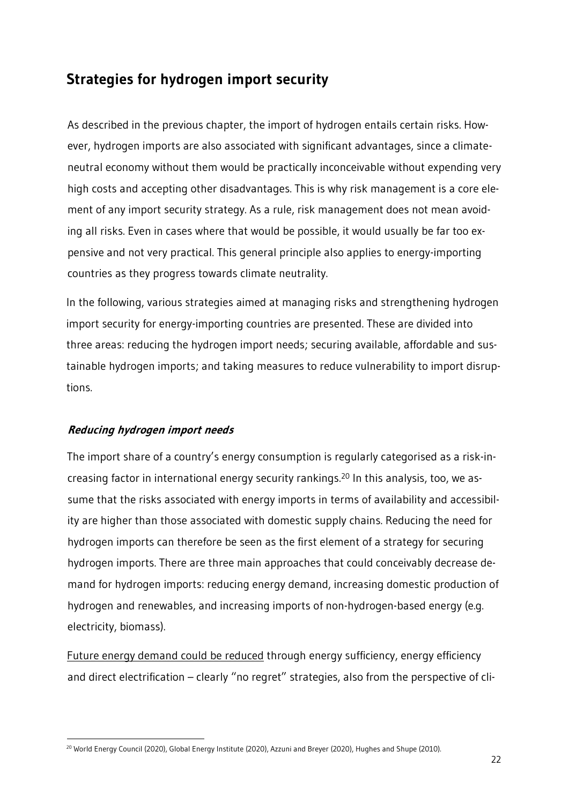# <span id="page-24-0"></span>**Strategies for hydrogen import security**

As described in the previous chapter, the import of hydrogen entails certain risks. However, hydrogen imports are also associated with significant advantages, since a climateneutral economy without them would be practically inconceivable without expending very high costs and accepting other disadvantages. This is why risk management is a core element of any import security strategy. As a rule, risk management does not mean avoiding all risks. Even in cases where that would be possible, it would usually be far too expensive and not very practical. This general principle also applies to energy-importing countries as they progress towards climate neutrality.

In the following, various strategies aimed at managing risks and strengthening hydrogen import security for energy-importing countries are presented. These are divided into three areas: reducing the hydrogen import needs; securing available, affordable and sustainable hydrogen imports; and taking measures to reduce vulnerability to import disruptions.

### <span id="page-24-1"></span>**Reducing hydrogen import needs**

The import share of a country's energy consumption is regularly categorised as a risk-increasing factor in international energy security rankings.<sup>20</sup> In this analysis, too, we assume that the risks associated with energy imports in terms of availability and accessibility are higher than those associated with domestic supply chains. Reducing the need for hydrogen imports can therefore be seen as the first element of a strategy for securing hydrogen imports. There are three main approaches that could conceivably decrease demand for hydrogen imports: reducing energy demand, increasing domestic production of hydrogen and renewables, and increasing imports of non-hydrogen-based energy (e.g. electricity, biomass).

Future energy demand could be reduced through energy sufficiency, energy efficiency and direct electrification – clearly "no regret" strategies, also from the perspective of cli-

<sup>-</sup><sup>20</sup> World Energy Council (2020), Global Energy Institute (2020), Azzuni and Breyer (2020), Hughes and Shupe (2010).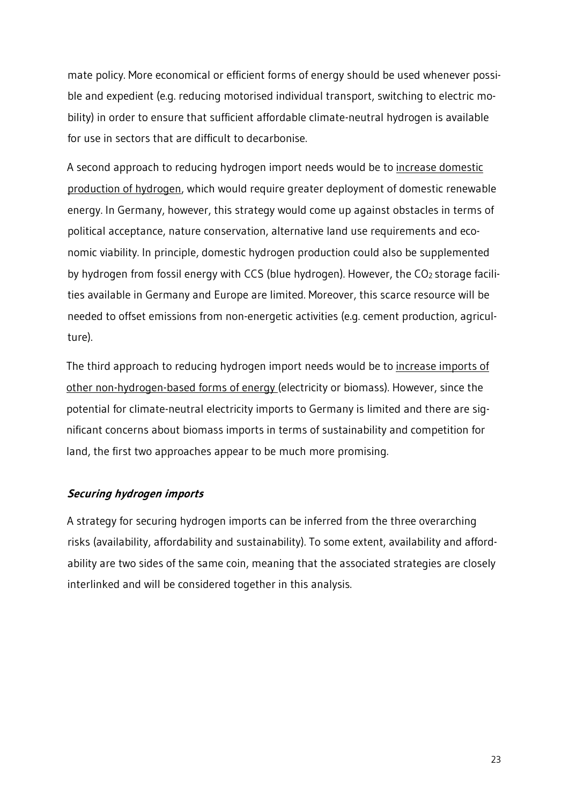mate policy. More economical or efficient forms of energy should be used whenever possible and expedient (e.g. reducing motorised individual transport, switching to electric mobility) in order to ensure that sufficient affordable climate-neutral hydrogen is available for use in sectors that are difficult to decarbonise.

A second approach to reducing hydrogen import needs would be to increase domestic production of hydrogen, which would require greater deployment of domestic renewable energy. In Germany, however, this strategy would come up against obstacles in terms of political acceptance, nature conservation, alternative land use requirements and economic viability. In principle, domestic hydrogen production could also be supplemented by hydrogen from fossil energy with CCS (blue hydrogen). However, the CO2 storage facilities available in Germany and Europe are limited. Moreover, this scarce resource will be needed to offset emissions from non-energetic activities (e.g. cement production, agriculture).

The third approach to reducing hydrogen import needs would be to increase imports of other non-hydrogen-based forms of energy (electricity or biomass). However, since the potential for climate-neutral electricity imports to Germany is limited and there are significant concerns about biomass imports in terms of sustainability and competition for land, the first two approaches appear to be much more promising.

### <span id="page-25-0"></span>**Securing hydrogen imports**

A strategy for securing hydrogen imports can be inferred from the three overarching risks (availability, affordability and sustainability). To some extent, availability and affordability are two sides of the same coin, meaning that the associated strategies are closely interlinked and will be considered together in this analysis.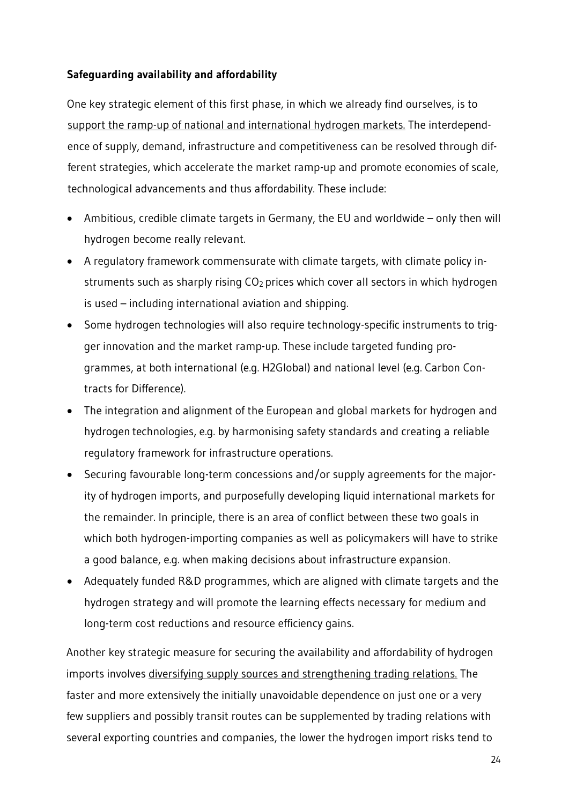#### **Safeguarding availability and affordability**

One key strategic element of this first phase, in which we already find ourselves, is to support the ramp-up of national and international hydrogen markets. The interdependence of supply, demand, infrastructure and competitiveness can be resolved through different strategies, which accelerate the market ramp-up and promote economies of scale, technological advancements and thus affordability. These include:

- Ambitious, credible climate targets in Germany, the EU and worldwide only then will hydrogen become really relevant.
- A regulatory framework commensurate with climate targets, with climate policy instruments such as sharply rising  $CO<sub>2</sub>$  prices which cover all sectors in which hydrogen is used – including international aviation and shipping.
- Some hydrogen technologies will also require technology-specific instruments to trigger innovation and the market ramp-up. These include targeted funding programmes, at both international (e.g. H2Global) and national level (e.g. Carbon Contracts for Difference).
- The integration and alignment of the European and global markets for hydrogen and hydrogen technologies, e.g. by harmonising safety standards and creating a reliable regulatory framework for infrastructure operations.
- Securing favourable long-term concessions and/or supply agreements for the majority of hydrogen imports, and purposefully developing liquid international markets for the remainder. In principle, there is an area of conflict between these two goals in which both hydrogen-importing companies as well as policymakers will have to strike a good balance, e.g. when making decisions about infrastructure expansion.
- Adequately funded R&D programmes, which are aligned with climate targets and the hydrogen strategy and will promote the learning effects necessary for medium and long-term cost reductions and resource efficiency gains.

Another key strategic measure for securing the availability and affordability of hydrogen imports involves diversifying supply sources and strengthening trading relations. The faster and more extensively the initially unavoidable dependence on just one or a very few suppliers and possibly transit routes can be supplemented by trading relations with several exporting countries and companies, the lower the hydrogen import risks tend to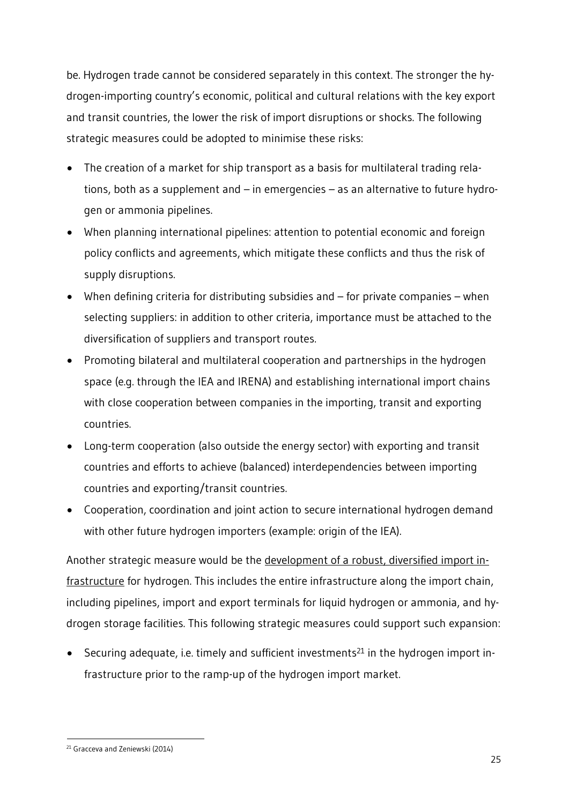be. Hydrogen trade cannot be considered separately in this context. The stronger the hydrogen-importing country's economic, political and cultural relations with the key export and transit countries, the lower the risk of import disruptions or shocks. The following strategic measures could be adopted to minimise these risks:

- The creation of a market for ship transport as a basis for multilateral trading relations, both as a supplement and – in emergencies – as an alternative to future hydrogen or ammonia pipelines.
- When planning international pipelines: attention to potential economic and foreign policy conflicts and agreements, which mitigate these conflicts and thus the risk of supply disruptions.
- When defining criteria for distributing subsidies and for private companies when selecting suppliers: in addition to other criteria, importance must be attached to the diversification of suppliers and transport routes.
- Promoting bilateral and multilateral cooperation and partnerships in the hydrogen space (e.g. through the IEA and IRENA) and establishing international import chains with close cooperation between companies in the importing, transit and exporting countries.
- Long-term cooperation (also outside the energy sector) with exporting and transit countries and efforts to achieve (balanced) interdependencies between importing countries and exporting/transit countries.
- Cooperation, coordination and joint action to secure international hydrogen demand with other future hydrogen importers (example: origin of the IEA).

Another strategic measure would be the development of a robust, diversified import infrastructure for hydrogen. This includes the entire infrastructure along the import chain, including pipelines, import and export terminals for liquid hydrogen or ammonia, and hydrogen storage facilities. This following strategic measures could support such expansion:

Securing adequate, i.e. timely and sufficient investments<sup>21</sup> in the hydrogen import infrastructure prior to the ramp-up of the hydrogen import market.

<sup>-</sup><sup>21</sup> Gracceva and Zeniewski (2014)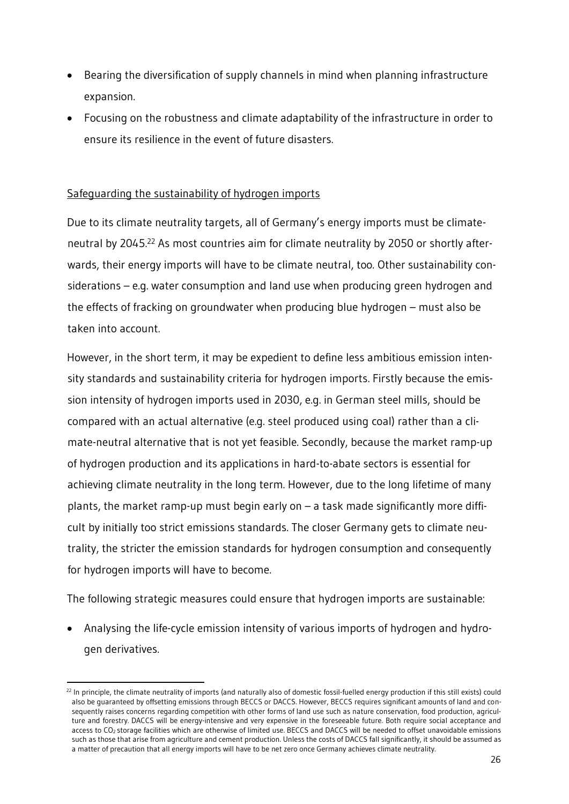- Bearing the diversification of supply channels in mind when planning infrastructure expansion.
- Focusing on the robustness and climate adaptability of the infrastructure in order to ensure its resilience in the event of future disasters.

#### Safeguarding the sustainability of hydrogen imports

Due to its climate neutrality targets, all of Germany's energy imports must be climateneutral by 2045.<sup>22</sup> As most countries aim for climate neutrality by 2050 or shortly afterwards, their energy imports will have to be climate neutral, too. Other sustainability considerations – e.g. water consumption and land use when producing green hydrogen and the effects of fracking on groundwater when producing blue hydrogen – must also be taken into account.

However, in the short term, it may be expedient to define less ambitious emission intensity standards and sustainability criteria for hydrogen imports. Firstly because the emission intensity of hydrogen imports used in 2030, e.g. in German steel mills, should be compared with an actual alternative (e.g. steel produced using coal) rather than a climate-neutral alternative that is not yet feasible. Secondly, because the market ramp-up of hydrogen production and its applications in hard-to-abate sectors is essential for achieving climate neutrality in the long term. However, due to the long lifetime of many plants, the market ramp-up must begin early on  $-$  a task made significantly more difficult by initially too strict emissions standards. The closer Germany gets to climate neutrality, the stricter the emission standards for hydrogen consumption and consequently for hydrogen imports will have to become.

The following strategic measures could ensure that hydrogen imports are sustainable:

 Analysing the life-cycle emission intensity of various imports of hydrogen and hydrogen derivatives.

<sup>-</sup> $^{22}$  In principle, the climate neutrality of imports (and naturally also of domestic fossil-fuelled energy production if this still exists) could also be guaranteed by offsetting emissions through BECCS or DACCS. However, BECCS requires significant amounts of land and consequently raises concerns regarding competition with other forms of land use such as nature conservation, food production, agriculture and forestry. DACCS will be energy-intensive and very expensive in the foreseeable future. Both require social acceptance and access to CO<sub>2</sub> storage facilities which are otherwise of limited use. BECCS and DACCS will be needed to offset unavoidable emissions such as those that arise from agriculture and cement production. Unless the costs of DACCS fall significantly, it should be assumed as a matter of precaution that all energy imports will have to be net zero once Germany achieves climate neutrality.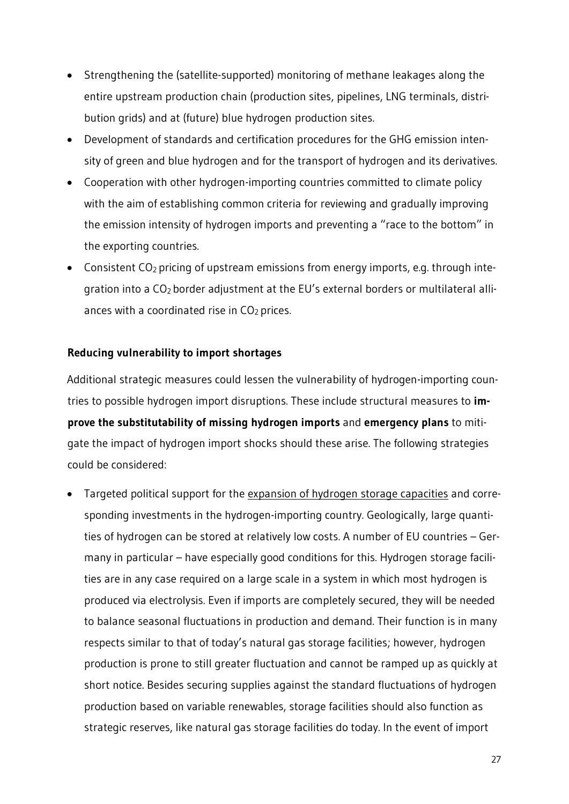- Strengthening the (satellite-supported) monitoring of methane leakages along the entire upstream production chain (production sites, pipelines, LNG terminals, distribution grids) and at (future) blue hydrogen production sites.
- Development of standards and certification procedures for the GHG emission intensity of green and blue hydrogen and for the transport of hydrogen and its derivatives.
- Cooperation with other hydrogen-importing countries committed to climate policy with the aim of establishing common criteria for reviewing and gradually improving the emission intensity of hydrogen imports and preventing a "race to the bottom" in the exporting countries.
- Consistent CO<sub>2</sub> pricing of upstream emissions from energy imports, e.g. through integration into a CO2 border adjustment at the EU's external borders or multilateral alliances with a coordinated rise in CO<sub>2</sub> prices.

#### <span id="page-29-0"></span>**Reducing vulnerability to import shortages**

Additional strategic measures could lessen the vulnerability of hydrogen-importing countries to possible hydrogen import disruptions. These include structural measures to **improve the substitutability of missing hydrogen imports** and **emergency plans** to mitigate the impact of hydrogen import shocks should these arise. The following strategies could be considered:

• Targeted political support for the expansion of hydrogen storage capacities and corresponding investments in the hydrogen-importing country. Geologically, large quantities of hydrogen can be stored at relatively low costs. A number of EU countries – Germany in particular – have especially good conditions for this. Hydrogen storage facilities are in any case required on a large scale in a system in which most hydrogen is produced via electrolysis. Even if imports are completely secured, they will be needed to balance seasonal fluctuations in production and demand. Their function is in many respects similar to that of today's natural gas storage facilities; however, hydrogen production is prone to still greater fluctuation and cannot be ramped up as quickly at short notice. Besides securing supplies against the standard fluctuations of hydrogen production based on variable renewables, storage facilities should also function as strategic reserves, like natural gas storage facilities do today. In the event of import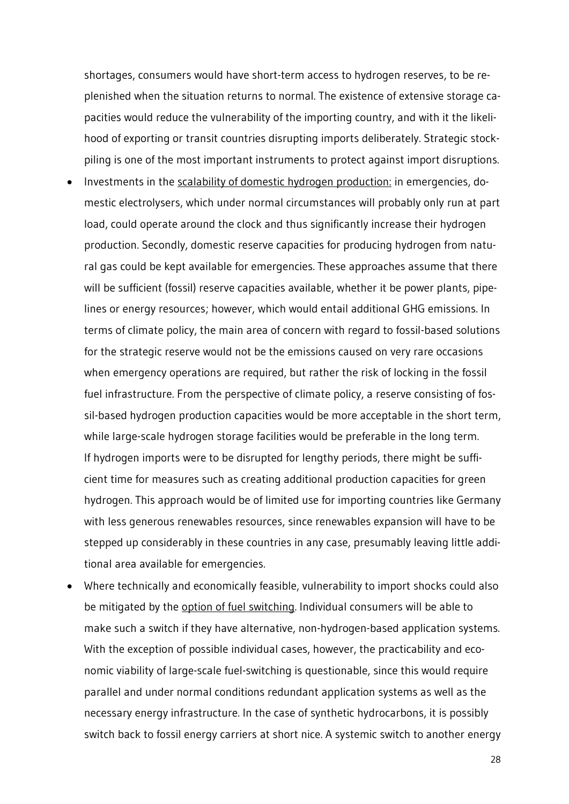shortages, consumers would have short-term access to hydrogen reserves, to be replenished when the situation returns to normal. The existence of extensive storage capacities would reduce the vulnerability of the importing country, and with it the likelihood of exporting or transit countries disrupting imports deliberately. Strategic stockpiling is one of the most important instruments to protect against import disruptions.

- Investments in the scalability of domestic hydrogen production: in emergencies, domestic electrolysers, which under normal circumstances will probably only run at part load, could operate around the clock and thus significantly increase their hydrogen production. Secondly, domestic reserve capacities for producing hydrogen from natural gas could be kept available for emergencies. These approaches assume that there will be sufficient (fossil) reserve capacities available, whether it be power plants, pipelines or energy resources; however, which would entail additional GHG emissions. In terms of climate policy, the main area of concern with regard to fossil-based solutions for the strategic reserve would not be the emissions caused on very rare occasions when emergency operations are required, but rather the risk of locking in the fossil fuel infrastructure. From the perspective of climate policy, a reserve consisting of fossil-based hydrogen production capacities would be more acceptable in the short term, while large-scale hydrogen storage facilities would be preferable in the long term. If hydrogen imports were to be disrupted for lengthy periods, there might be sufficient time for measures such as creating additional production capacities for green hydrogen. This approach would be of limited use for importing countries like Germany with less generous renewables resources, since renewables expansion will have to be stepped up considerably in these countries in any case, presumably leaving little additional area available for emergencies.
- Where technically and economically feasible, vulnerability to import shocks could also be mitigated by the option of fuel switching. Individual consumers will be able to make such a switch if they have alternative, non-hydrogen-based application systems. With the exception of possible individual cases, however, the practicability and economic viability of large-scale fuel-switching is questionable, since this would require parallel and under normal conditions redundant application systems as well as the necessary energy infrastructure. In the case of synthetic hydrocarbons, it is possibly switch back to fossil energy carriers at short nice. A systemic switch to another energy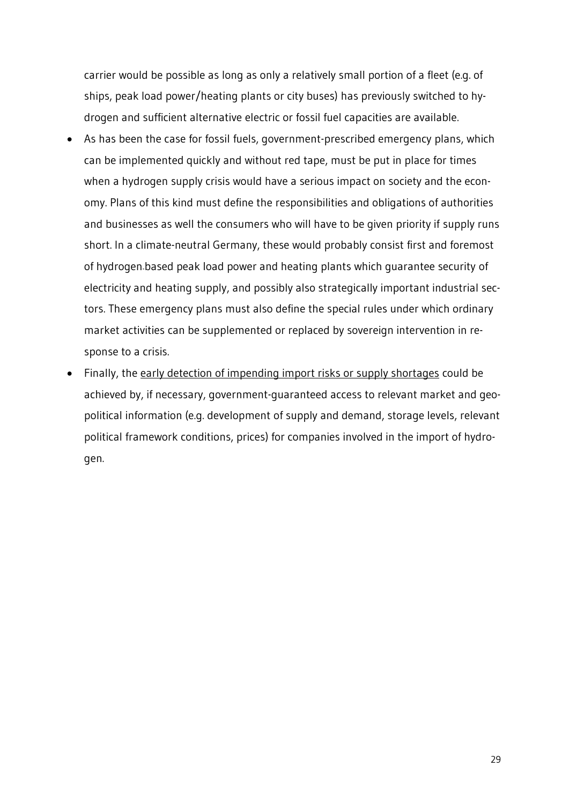carrier would be possible as long as only a relatively small portion of a fleet (e.g. of ships, peak load power/heating plants or city buses) has previously switched to hydrogen and sufficient alternative electric or fossil fuel capacities are available.

- As has been the case for fossil fuels, government-prescribed emergency plans, which can be implemented quickly and without red tape, must be put in place for times when a hydrogen supply crisis would have a serious impact on society and the economy. Plans of this kind must define the responsibilities and obligations of authorities and businesses as well the consumers who will have to be given priority if supply runs short. In a climate-neutral Germany, these would probably consist first and foremost of hydrogen-based peak load power and heating plants which guarantee security of electricity and heating supply, and possibly also strategically important industrial sectors. These emergency plans must also define the special rules under which ordinary market activities can be supplemented or replaced by sovereign intervention in response to a crisis.
- Finally, the early detection of impending import risks or supply shortages could be achieved by, if necessary, government-guaranteed access to relevant market and geopolitical information (e.g. development of supply and demand, storage levels, relevant political framework conditions, prices) for companies involved in the import of hydrogen.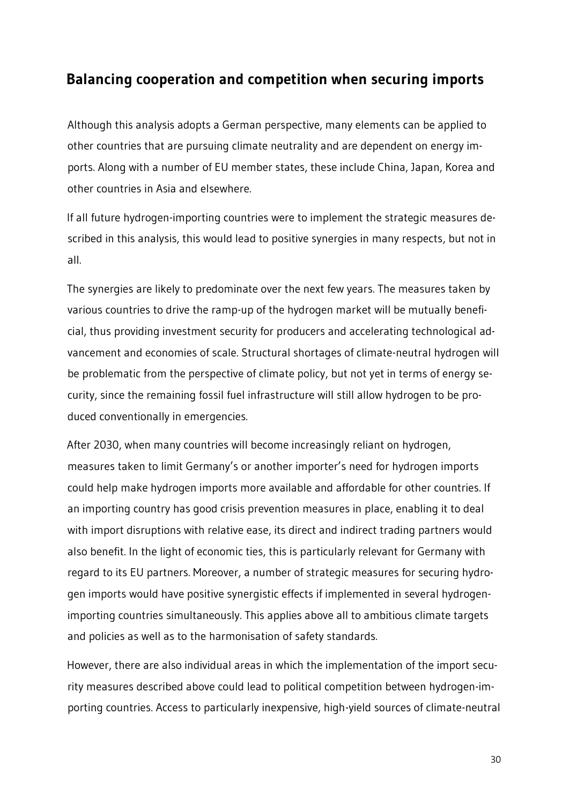## <span id="page-32-0"></span>**Balancing cooperation and competition when securing imports**

Although this analysis adopts a German perspective, many elements can be applied to other countries that are pursuing climate neutrality and are dependent on energy imports. Along with a number of EU member states, these include China, Japan, Korea and other countries in Asia and elsewhere.

If all future hydrogen-importing countries were to implement the strategic measures described in this analysis, this would lead to positive synergies in many respects, but not in all.

The synergies are likely to predominate over the next few years. The measures taken by various countries to drive the ramp-up of the hydrogen market will be mutually beneficial, thus providing investment security for producers and accelerating technological advancement and economies of scale. Structural shortages of climate-neutral hydrogen will be problematic from the perspective of climate policy, but not yet in terms of energy security, since the remaining fossil fuel infrastructure will still allow hydrogen to be produced conventionally in emergencies.

After 2030, when many countries will become increasingly reliant on hydrogen, measures taken to limit Germany's or another importer's need for hydrogen imports could help make hydrogen imports more available and affordable for other countries. If an importing country has good crisis prevention measures in place, enabling it to deal with import disruptions with relative ease, its direct and indirect trading partners would also benefit. In the light of economic ties, this is particularly relevant for Germany with regard to its EU partners. Moreover, a number of strategic measures for securing hydrogen imports would have positive synergistic effects if implemented in several hydrogenimporting countries simultaneously. This applies above all to ambitious climate targets and policies as well as to the harmonisation of safety standards.

However, there are also individual areas in which the implementation of the import security measures described above could lead to political competition between hydrogen-importing countries. Access to particularly inexpensive, high-yield sources of climate-neutral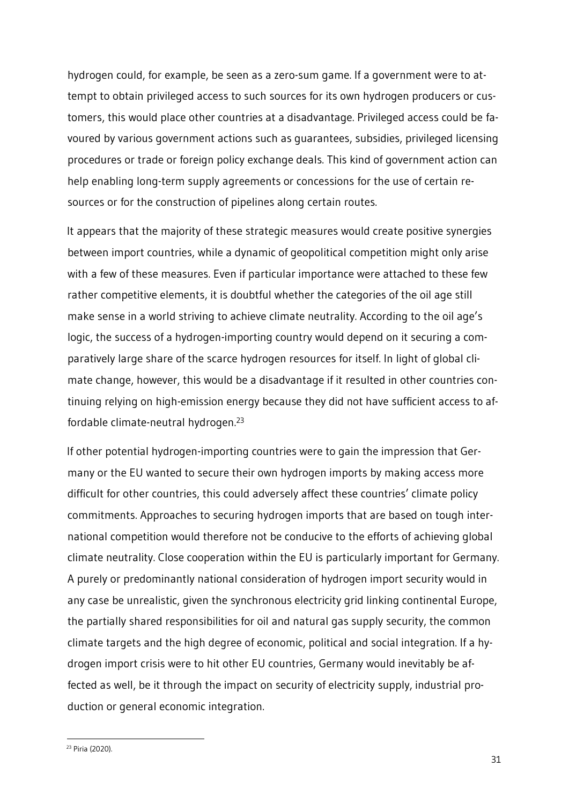hydrogen could, for example, be seen as a zero-sum game. If a government were to attempt to obtain privileged access to such sources for its own hydrogen producers or customers, this would place other countries at a disadvantage. Privileged access could be favoured by various government actions such as guarantees, subsidies, privileged licensing procedures or trade or foreign policy exchange deals. This kind of government action can help enabling long-term supply agreements or concessions for the use of certain resources or for the construction of pipelines along certain routes.

It appears that the majority of these strategic measures would create positive synergies between import countries, while a dynamic of geopolitical competition might only arise with a few of these measures. Even if particular importance were attached to these few rather competitive elements, it is doubtful whether the categories of the oil age still make sense in a world striving to achieve climate neutrality. According to the oil age's logic, the success of a hydrogen-importing country would depend on it securing a comparatively large share of the scarce hydrogen resources for itself. In light of global climate change, however, this would be a disadvantage if it resulted in other countries continuing relying on high-emission energy because they did not have sufficient access to affordable climate-neutral hydrogen.<sup>23</sup>

If other potential hydrogen-importing countries were to gain the impression that Germany or the EU wanted to secure their own hydrogen imports by making access more difficult for other countries, this could adversely affect these countries' climate policy commitments. Approaches to securing hydrogen imports that are based on tough international competition would therefore not be conducive to the efforts of achieving global climate neutrality. Close cooperation within the EU is particularly important for Germany. A purely or predominantly national consideration of hydrogen import security would in any case be unrealistic, given the synchronous electricity grid linking continental Europe, the partially shared responsibilities for oil and natural gas supply security, the common climate targets and the high degree of economic, political and social integration. If a hydrogen import crisis were to hit other EU countries, Germany would inevitably be affected as well, be it through the impact on security of electricity supply, industrial production or general economic integration.

-

<sup>23</sup> Piria (2020).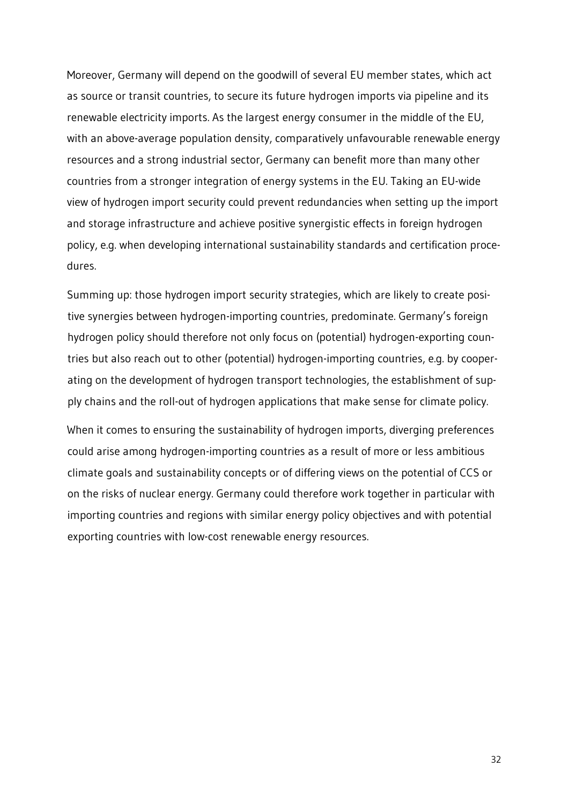Moreover, Germany will depend on the goodwill of several EU member states, which act as source or transit countries, to secure its future hydrogen imports via pipeline and its renewable electricity imports. As the largest energy consumer in the middle of the EU, with an above-average population density, comparatively unfavourable renewable energy resources and a strong industrial sector, Germany can benefit more than many other countries from a stronger integration of energy systems in the EU. Taking an EU-wide view of hydrogen import security could prevent redundancies when setting up the import and storage infrastructure and achieve positive synergistic effects in foreign hydrogen policy, e.g. when developing international sustainability standards and certification procedures.

Summing up: those hydrogen import security strategies, which are likely to create positive synergies between hydrogen-importing countries, predominate. Germany's foreign hydrogen policy should therefore not only focus on (potential) hydrogen-exporting countries but also reach out to other (potential) hydrogen-importing countries, e.g. by cooperating on the development of hydrogen transport technologies, the establishment of supply chains and the roll-out of hydrogen applications that make sense for climate policy.

When it comes to ensuring the sustainability of hydrogen imports, diverging preferences could arise among hydrogen-importing countries as a result of more or less ambitious climate goals and sustainability concepts or of differing views on the potential of CCS or on the risks of nuclear energy. Germany could therefore work together in particular with importing countries and regions with similar energy policy objectives and with potential exporting countries with low-cost renewable energy resources.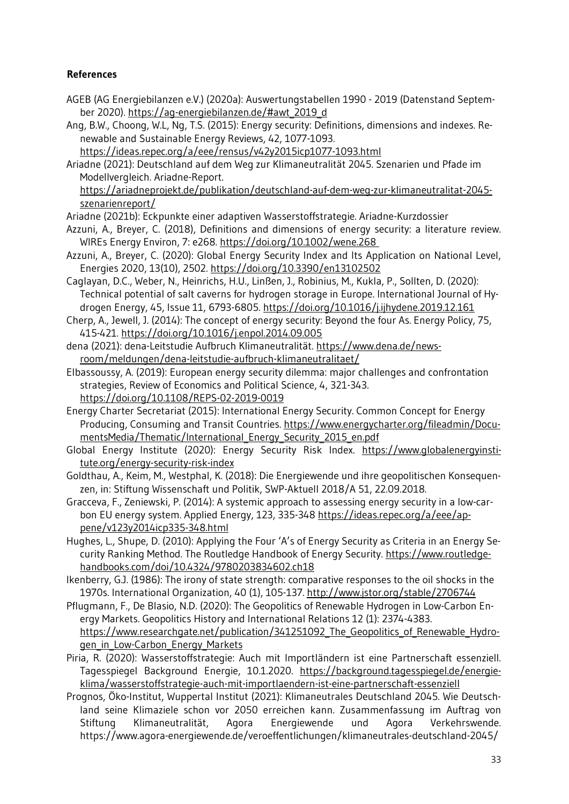#### **References**

- AGEB (AG Energiebilanzen e.V.) (2020a): Auswertungstabellen 1990 2019 (Datenstand September 2020). [https://ag-energiebilanzen.de/#awt\\_2019\\_d](https://ag-energiebilanzen.de/#awt_2019_d)
- Ang, B.W., Choong, W.L, Ng, T.S. (2015): Energy security: Definitions, dimensions and indexes. Renewable and Sustainable Energy Reviews, 42, 1077-1093.

<https://ideas.repec.org/a/eee/rensus/v42y2015icp1077-1093.html>

Ariadne (2021): Deutschland auf dem Weg zur Klimaneutralität 2045. Szenarien und Pfade im Modellvergleich. Ariadne-Report.

[https://ariadneprojekt.de/publikation/deutschland-auf-dem-weg-zur-klimaneutralitat-2045](https://ariadneprojekt.de/publikation/deutschland-auf-dem-weg-zur-klimaneutralitat-2045-szenarienreport/) [szenarienreport/](https://ariadneprojekt.de/publikation/deutschland-auf-dem-weg-zur-klimaneutralitat-2045-szenarienreport/)

Ariadne (2021b): Eckpunkte einer adaptiven Wasserstoffstrategie. Ariadne-Kurzdossier

- Azzuni, A., Breyer, C. (2018), Definitions and dimensions of energy security: a literature review. WIREs Energy Environ, 7: e268. <https://doi.org/10.1002/wene.268>
- Azzuni, A., Breyer, C. (2020): Global Energy Security Index and Its Application on National Level, Energies 2020, 13(10), 2502.<https://doi.org/10.3390/en13102502>
- Caglayan, D.C., Weber, N., Heinrichs, H.U., Linßen, J., Robinius, M., Kukla, P., Sollten, D. (2020): Technical potential of salt caverns for hydrogen storage in Europe. International Journal of Hydrogen Energy, 45, Issue 11, 6793-6805.<https://doi.org/10.1016/j.ijhydene.2019.12.161>
- Cherp, A., Jewell, J. (2014): The concept of energy security: Beyond the four As. Energy Policy, 75, 415-421.<https://doi.org/10.1016/j.enpol.2014.09.005>
- dena (2021): dena-Leitstudie Aufbruch Klimaneutralität. https://www.dena.de/newsroom/meldungen/dena-leitstudie-aufbruch-klimaneutralitaet/
- Elbassoussy, A. (2019): European energy security dilemma: major challenges and confrontation strategies, Review of Economics and Political Science, 4, 321-343. <https://doi.org/10.1108/REPS-02-2019-0019>

Energy Charter Secretariat (2015): International Energy Security. Common Concept for Energy Producing, Consuming and Transit Countries. [https://www.energycharter.org/fileadmin/Docu](https://www.energycharter.org/fileadmin/DocumentsMedia/Thematic/International_Energy_Security_2015_en.pdf)[mentsMedia/Thematic/International\\_Energy\\_Security\\_2015\\_en.pdf](https://www.energycharter.org/fileadmin/DocumentsMedia/Thematic/International_Energy_Security_2015_en.pdf)

Global Energy Institute (2020): Energy Security Risk Index. [https://www.globalenergyinsti](https://www.globalenergyinstitute.org/energy-security-risk-index)[tute.org/energy-security-risk-index](https://www.globalenergyinstitute.org/energy-security-risk-index)

Goldthau, A., Keim, M., Westphal, K. (2018): Die Energiewende und ihre geopolitischen Konsequenzen, in: Stiftung Wissenschaft und Politik, SWP-Aktuell 2018/A 51, 22.09.2018.

Gracceva, F., Zeniewski, P. (2014): A systemic approach to assessing energy security in a low-carbon EU energy system. Applied Energy, 123, 335-348 [https://ideas.repec.org/a/eee/ap](https://ideas.repec.org/a/eee/appene/v123y2014icp335-348.html)[pene/v123y2014icp335-348.html](https://ideas.repec.org/a/eee/appene/v123y2014icp335-348.html)

Hughes, L., Shupe, D. (2010): Applying the Four 'A's of Energy Security as Criteria in an Energy Security Ranking Method. The Routledge Handbook of Energy Security. [https://www.routledge](https://www.routledgehandbooks.com/doi/10.4324/9780203834602.ch18)[handbooks.com/doi/10.4324/9780203834602.ch18](https://www.routledgehandbooks.com/doi/10.4324/9780203834602.ch18)

Ikenberry, G.J. (1986): The irony of state strength: comparative responses to the oil shocks in the 1970s. International Organization, 40 (1), 105-137.<http://www.jstor.org/stable/2706744>

Pflugmann, F., De Blasio, N.D. (2020): The Geopolitics of Renewable Hydrogen in Low-Carbon Energy Markets. Geopolitics History and International Relations 12 (1): 2374-4383. https://www.researchgate.net/publication/341251092 The Geopolitics of Renewable Hydrogen in Low-Carbon Energy Markets

Piria, R. (2020): Wasserstoffstrategie: Auch mit Importländern ist eine Partnerschaft essenziell. Tagesspiegel Background Energie, 10.1.2020. [https://background.tagesspiegel.de/energie](https://background.tagesspiegel.de/energie-klima/wasserstoffstrategie-auch-mit-importlaendern-ist-eine-partnerschaft-essenziell)[klima/wasserstoffstrategie-auch-mit-importlaendern-ist-eine-partnerschaft-essenziell](https://background.tagesspiegel.de/energie-klima/wasserstoffstrategie-auch-mit-importlaendern-ist-eine-partnerschaft-essenziell)

Prognos, Öko-Institut, Wuppertal Institut (2021): Klimaneutrales Deutschland 2045. Wie Deutschland seine Klimaziele schon vor 2050 erreichen kann. Zusammenfassung im Auftrag von Stiftung Klimaneutralität, Agora Energiewende und Agora Verkehrswende. https://www.agora-energiewende.de/veroeffentlichungen/klimaneutrales-deutschland-2045/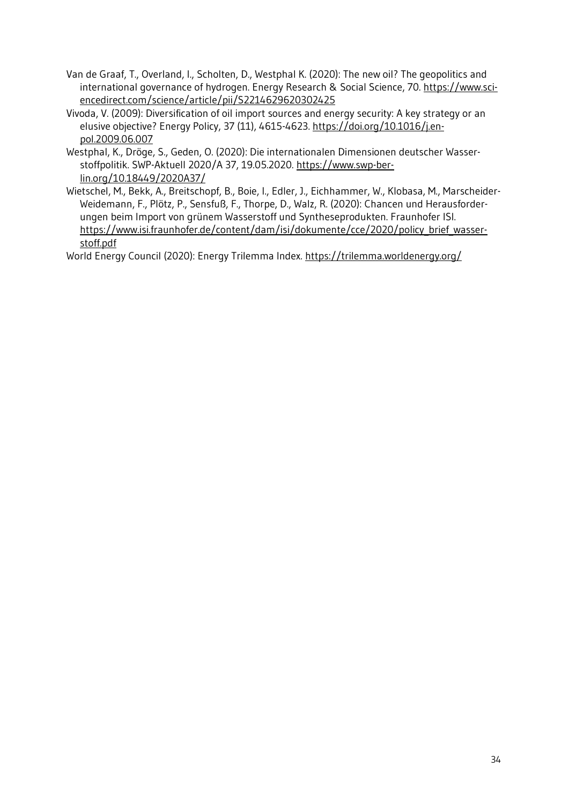- Van de Graaf, T., Overland, I., Scholten, D., Westphal K. (2020): The new oil? The geopolitics and international governance of hydrogen. Energy Research & Social Science, 70. [https://www.sci](https://www.sciencedirect.com/science/article/pii/S2214629620302425)[encedirect.com/science/article/pii/S2214629620302425](https://www.sciencedirect.com/science/article/pii/S2214629620302425)
- Vivoda, V. (2009): Diversification of oil import sources and energy security: A key strategy or an elusive objective? Energy Policy, 37 (11), 4615-4623. [https://doi.org/10.1016/j.en](https://doi.org/10.1016/j.enpol.2009.06.007)[pol.2009.06.007](https://doi.org/10.1016/j.enpol.2009.06.007)
- Westphal, K., Dröge, S., Geden, O. (2020): Die internationalen Dimensionen deutscher Wasserstoffpolitik. SWP-Aktuell 2020/A 37, 19.05.2020. [https://www.swp-ber](https://www.swp-berlin.org/10.18449/2020A37/)[lin.org/10.18449/2020A37/](https://www.swp-berlin.org/10.18449/2020A37/)
- Wietschel, M., Bekk, A., Breitschopf, B., Boie, I., Edler, J., Eichhammer, W., Klobasa, M., Marscheider-Weidemann, F., Plötz, P., Sensfuß, F., Thorpe, D., Walz, R. (2020): Chancen und Herausforderungen beim Import von grünem Wasserstoff und Syntheseprodukten. Fraunhofer ISI. [https://www.isi.fraunhofer.de/content/dam/isi/dokumente/cce/2020/policy\\_brief\\_wasser](https://www.isi.fraunhofer.de/content/dam/isi/dokumente/cce/2020/policy_brief_wasserstoff.pdf)[stoff.pdf](https://www.isi.fraunhofer.de/content/dam/isi/dokumente/cce/2020/policy_brief_wasserstoff.pdf)

World Energy Council (2020): Energy Trilemma Index.<https://trilemma.worldenergy.org/>